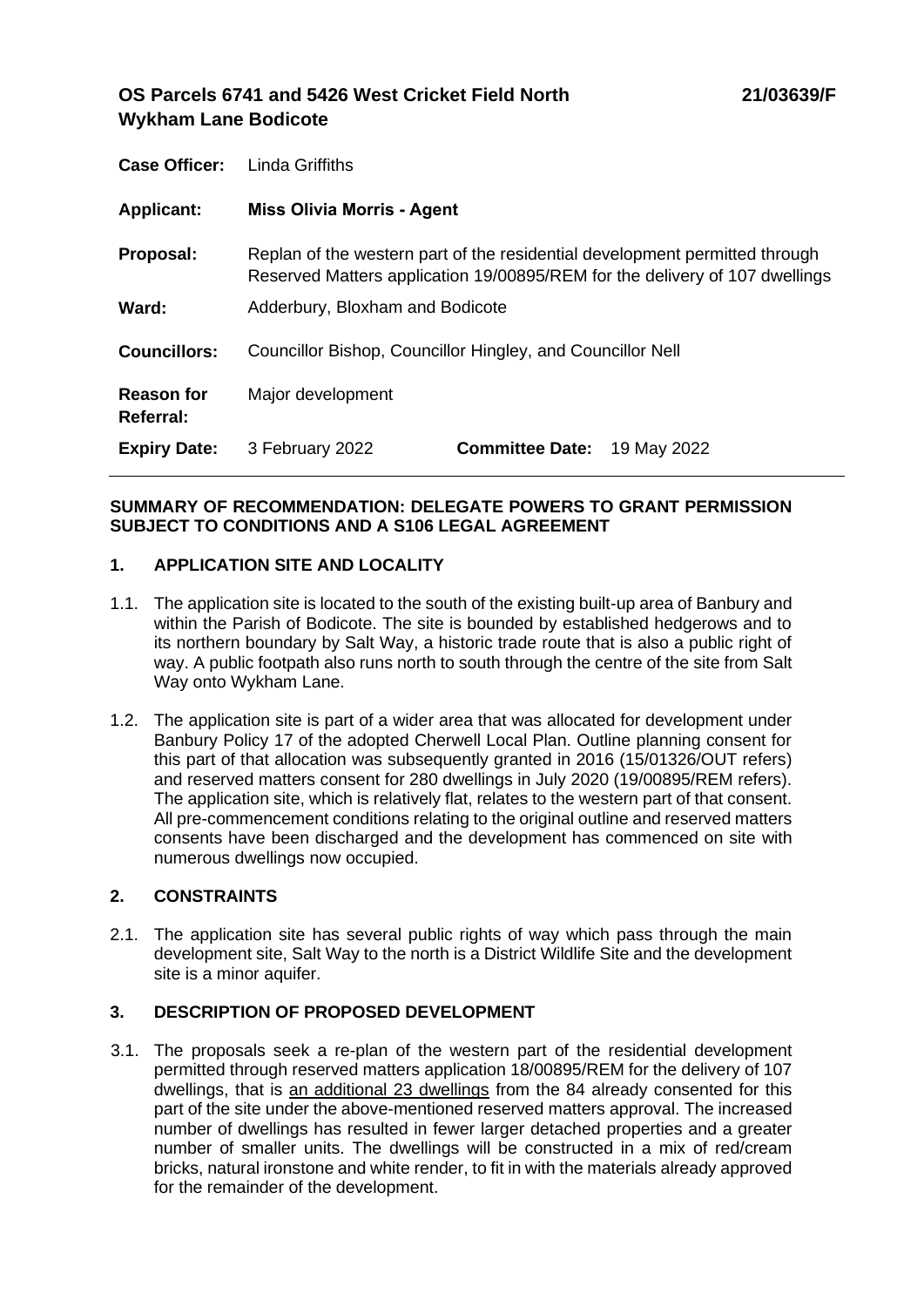# **OS Parcels 6741 and 5426 West Cricket Field North Wykham Lane Bodicote**

| <b>Case Officer:</b>           | Linda Griffiths                                                                                                                                            |                        |             |
|--------------------------------|------------------------------------------------------------------------------------------------------------------------------------------------------------|------------------------|-------------|
| <b>Applicant:</b>              | <b>Miss Olivia Morris - Agent</b>                                                                                                                          |                        |             |
| Proposal:                      | Replan of the western part of the residential development permitted through<br>Reserved Matters application 19/00895/REM for the delivery of 107 dwellings |                        |             |
| Ward:                          | Adderbury, Bloxham and Bodicote                                                                                                                            |                        |             |
| <b>Councillors:</b>            | Councillor Bishop, Councillor Hingley, and Councillor Nell                                                                                                 |                        |             |
| <b>Reason for</b><br>Referral: | Major development                                                                                                                                          |                        |             |
| <b>Expiry Date:</b>            | 3 February 2022                                                                                                                                            | <b>Committee Date:</b> | 19 May 2022 |

# **SUMMARY OF RECOMMENDATION: DELEGATE POWERS TO GRANT PERMISSION SUBJECT TO CONDITIONS AND A S106 LEGAL AGREEMENT**

# **1. APPLICATION SITE AND LOCALITY**

- 1.1. The application site is located to the south of the existing built-up area of Banbury and within the Parish of Bodicote. The site is bounded by established hedgerows and to its northern boundary by Salt Way, a historic trade route that is also a public right of way. A public footpath also runs north to south through the centre of the site from Salt Way onto Wykham Lane.
- 1.2. The application site is part of a wider area that was allocated for development under Banbury Policy 17 of the adopted Cherwell Local Plan. Outline planning consent for this part of that allocation was subsequently granted in 2016 (15/01326/OUT refers) and reserved matters consent for 280 dwellings in July 2020 (19/00895/REM refers). The application site, which is relatively flat, relates to the western part of that consent. All pre-commencement conditions relating to the original outline and reserved matters consents have been discharged and the development has commenced on site with numerous dwellings now occupied.

# **2. CONSTRAINTS**

2.1. The application site has several public rights of way which pass through the main development site, Salt Way to the north is a District Wildlife Site and the development site is a minor aquifer.

# **3. DESCRIPTION OF PROPOSED DEVELOPMENT**

3.1. The proposals seek a re-plan of the western part of the residential development permitted through reserved matters application 18/00895/REM for the delivery of 107 dwellings, that is an additional 23 dwellings from the 84 already consented for this part of the site under the above-mentioned reserved matters approval. The increased number of dwellings has resulted in fewer larger detached properties and a greater number of smaller units. The dwellings will be constructed in a mix of red/cream bricks, natural ironstone and white render, to fit in with the materials already approved for the remainder of the development.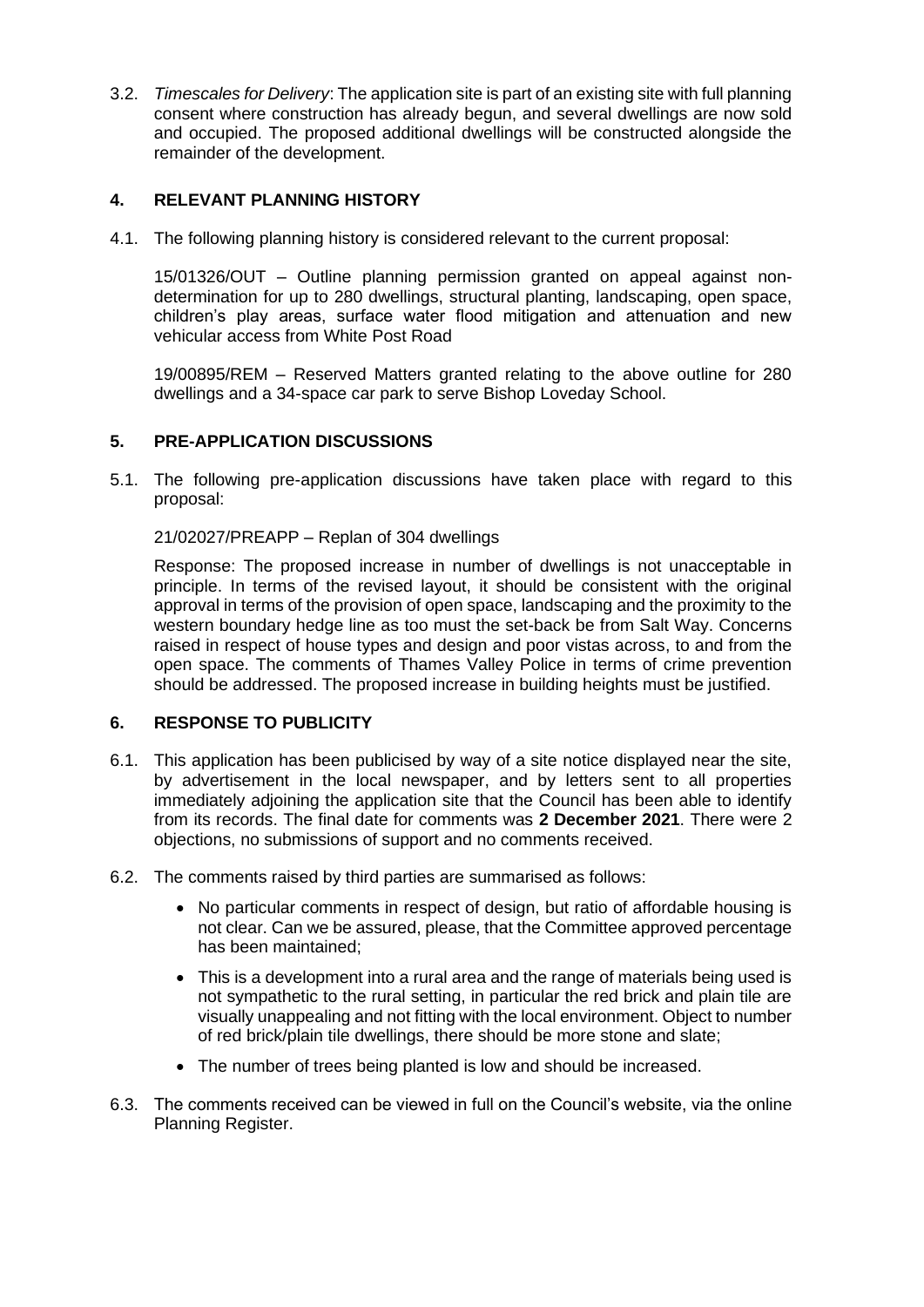3.2. *Timescales for Delivery*: The application site is part of an existing site with full planning consent where construction has already begun, and several dwellings are now sold and occupied. The proposed additional dwellings will be constructed alongside the remainder of the development.

# **4. RELEVANT PLANNING HISTORY**

4.1. The following planning history is considered relevant to the current proposal:

15/01326/OUT – Outline planning permission granted on appeal against nondetermination for up to 280 dwellings, structural planting, landscaping, open space, children's play areas, surface water flood mitigation and attenuation and new vehicular access from White Post Road

19/00895/REM – Reserved Matters granted relating to the above outline for 280 dwellings and a 34-space car park to serve Bishop Loveday School.

# **5. PRE-APPLICATION DISCUSSIONS**

5.1. The following pre-application discussions have taken place with regard to this proposal:

21/02027/PREAPP – Replan of 304 dwellings

Response: The proposed increase in number of dwellings is not unacceptable in principle. In terms of the revised layout, it should be consistent with the original approval in terms of the provision of open space, landscaping and the proximity to the western boundary hedge line as too must the set-back be from Salt Way. Concerns raised in respect of house types and design and poor vistas across, to and from the open space. The comments of Thames Valley Police in terms of crime prevention should be addressed. The proposed increase in building heights must be justified.

# **6. RESPONSE TO PUBLICITY**

- 6.1. This application has been publicised by way of a site notice displayed near the site, by advertisement in the local newspaper, and by letters sent to all properties immediately adjoining the application site that the Council has been able to identify from its records. The final date for comments was **2 December 2021**. There were 2 objections, no submissions of support and no comments received.
- 6.2. The comments raised by third parties are summarised as follows:
	- No particular comments in respect of design, but ratio of affordable housing is not clear. Can we be assured, please, that the Committee approved percentage has been maintained;
	- This is a development into a rural area and the range of materials being used is not sympathetic to the rural setting, in particular the red brick and plain tile are visually unappealing and not fitting with the local environment. Object to number of red brick/plain tile dwellings, there should be more stone and slate;
	- The number of trees being planted is low and should be increased.
- 6.3. The comments received can be viewed in full on the Council's website, via the online Planning Register.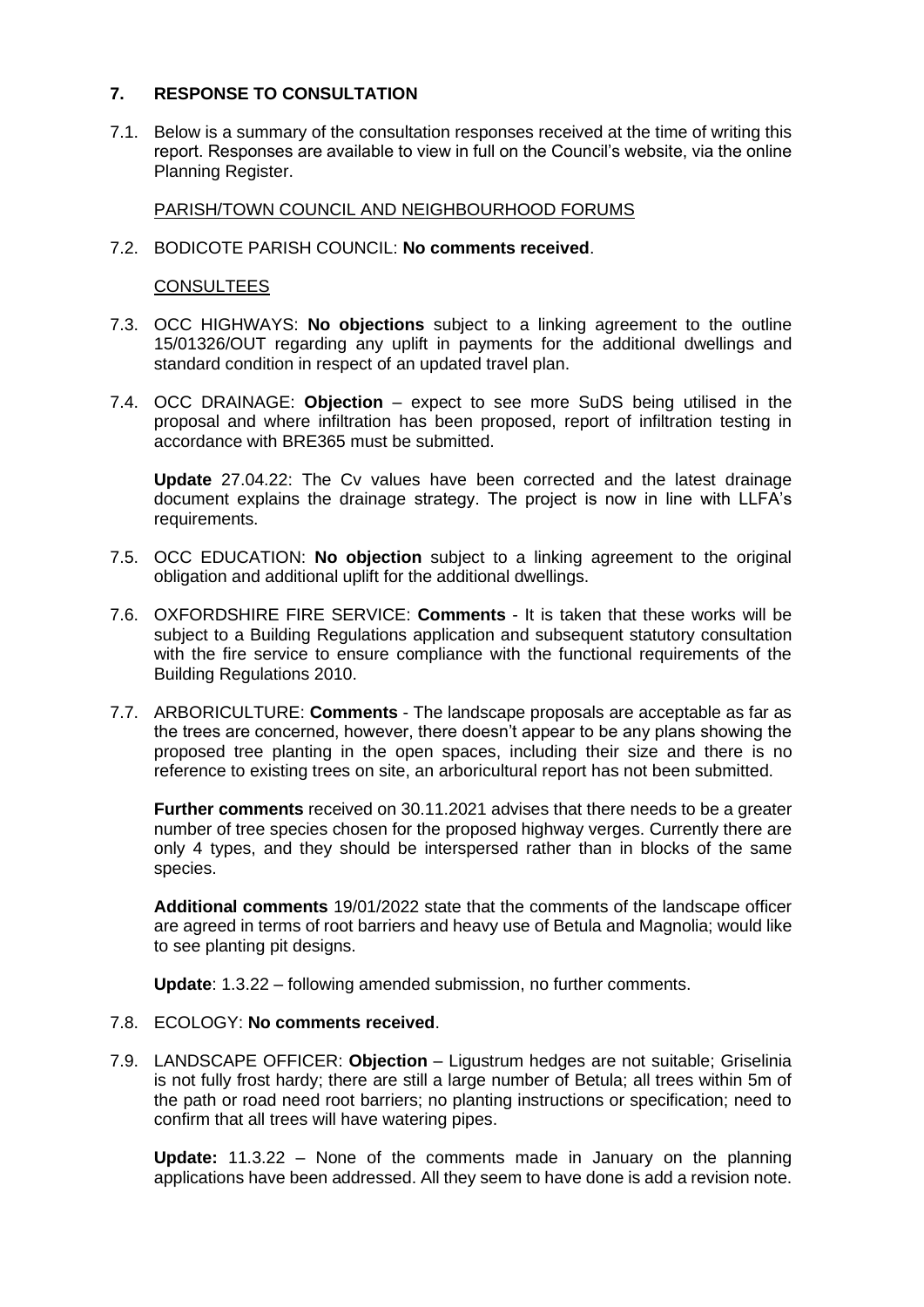# **7. RESPONSE TO CONSULTATION**

7.1. Below is a summary of the consultation responses received at the time of writing this report. Responses are available to view in full on the Council's website, via the online Planning Register.

PARISH/TOWN COUNCIL AND NEIGHBOURHOOD FORUMS

#### 7.2. BODICOTE PARISH COUNCIL: **No comments received**.

## **CONSULTEES**

- 7.3. OCC HIGHWAYS: **No objections** subject to a linking agreement to the outline 15/01326/OUT regarding any uplift in payments for the additional dwellings and standard condition in respect of an updated travel plan.
- 7.4. OCC DRAINAGE: **Objection** expect to see more SuDS being utilised in the proposal and where infiltration has been proposed, report of infiltration testing in accordance with BRE365 must be submitted.

**Update** 27.04.22: The Cv values have been corrected and the latest drainage document explains the drainage strategy. The project is now in line with LLFA's requirements.

- 7.5. OCC EDUCATION: **No objection** subject to a linking agreement to the original obligation and additional uplift for the additional dwellings.
- 7.6. OXFORDSHIRE FIRE SERVICE: **Comments** It is taken that these works will be subject to a Building Regulations application and subsequent statutory consultation with the fire service to ensure compliance with the functional requirements of the Building Regulations 2010.
- 7.7. ARBORICULTURE: **Comments**  The landscape proposals are acceptable as far as the trees are concerned, however, there doesn't appear to be any plans showing the proposed tree planting in the open spaces, including their size and there is no reference to existing trees on site, an arboricultural report has not been submitted.

**Further comments** received on 30.11.2021 advises that there needs to be a greater number of tree species chosen for the proposed highway verges. Currently there are only 4 types, and they should be interspersed rather than in blocks of the same species.

**Additional comments** 19/01/2022 state that the comments of the landscape officer are agreed in terms of root barriers and heavy use of Betula and Magnolia; would like to see planting pit designs.

**Update**: 1.3.22 – following amended submission, no further comments.

- 7.8. ECOLOGY: **No comments received**.
- 7.9. LANDSCAPE OFFICER: **Objection** Ligustrum hedges are not suitable; Griselinia is not fully frost hardy; there are still a large number of Betula; all trees within 5m of the path or road need root barriers; no planting instructions or specification; need to confirm that all trees will have watering pipes.

**Update:** 11.3.22 – None of the comments made in January on the planning applications have been addressed. All they seem to have done is add a revision note.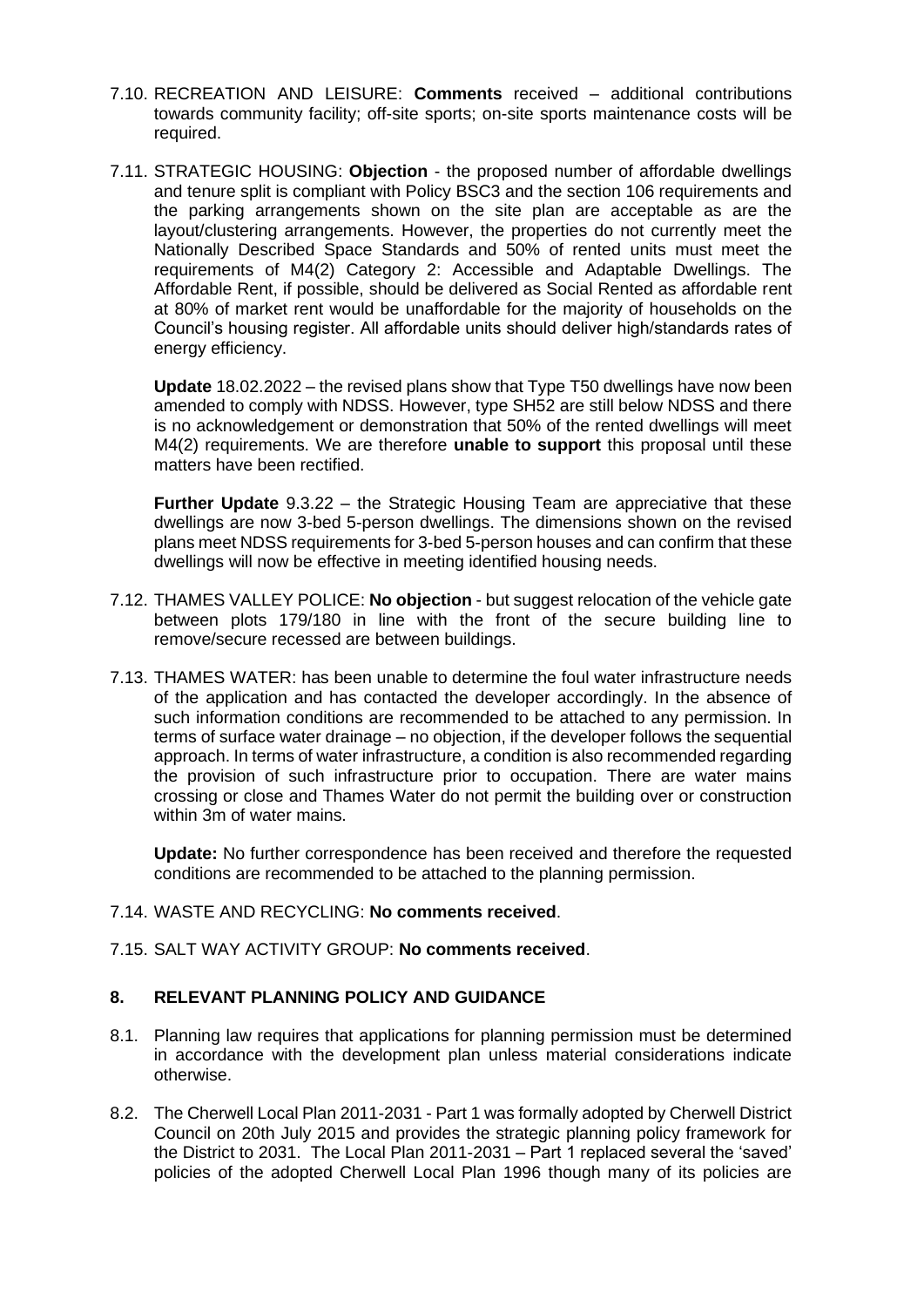- 7.10. RECREATION AND LEISURE: **Comments** received additional contributions towards community facility; off-site sports; on-site sports maintenance costs will be required.
- 7.11. STRATEGIC HOUSING: **Objection** the proposed number of affordable dwellings and tenure split is compliant with Policy BSC3 and the section 106 requirements and the parking arrangements shown on the site plan are acceptable as are the layout/clustering arrangements. However, the properties do not currently meet the Nationally Described Space Standards and 50% of rented units must meet the requirements of M4(2) Category 2: Accessible and Adaptable Dwellings. The Affordable Rent, if possible, should be delivered as Social Rented as affordable rent at 80% of market rent would be unaffordable for the majority of households on the Council's housing register. All affordable units should deliver high/standards rates of energy efficiency.

**Update** 18.02.2022 – the revised plans show that Type T50 dwellings have now been amended to comply with NDSS. However, type SH52 are still below NDSS and there is no acknowledgement or demonstration that 50% of the rented dwellings will meet M4(2) requirements. We are therefore **unable to support** this proposal until these matters have been rectified.

**Further Update** 9.3.22 – the Strategic Housing Team are appreciative that these dwellings are now 3-bed 5-person dwellings. The dimensions shown on the revised plans meet NDSS requirements for 3-bed 5-person houses and can confirm that these dwellings will now be effective in meeting identified housing needs.

- 7.12. THAMES VALLEY POLICE: **No objection** but suggest relocation of the vehicle gate between plots 179/180 in line with the front of the secure building line to remove/secure recessed are between buildings.
- 7.13. THAMES WATER: has been unable to determine the foul water infrastructure needs of the application and has contacted the developer accordingly. In the absence of such information conditions are recommended to be attached to any permission. In terms of surface water drainage – no objection, if the developer follows the sequential approach. In terms of water infrastructure, a condition is also recommended regarding the provision of such infrastructure prior to occupation. There are water mains crossing or close and Thames Water do not permit the building over or construction within 3m of water mains.

**Update:** No further correspondence has been received and therefore the requested conditions are recommended to be attached to the planning permission.

# 7.14. WASTE AND RECYCLING: **No comments received**.

7.15. SALT WAY ACTIVITY GROUP: **No comments received**.

# **8. RELEVANT PLANNING POLICY AND GUIDANCE**

- 8.1. Planning law requires that applications for planning permission must be determined in accordance with the development plan unless material considerations indicate otherwise.
- 8.2. The Cherwell Local Plan 2011-2031 Part 1 was formally adopted by Cherwell District Council on 20th July 2015 and provides the strategic planning policy framework for the District to 2031. The Local Plan 2011-2031 – Part 1 replaced several the 'saved' policies of the adopted Cherwell Local Plan 1996 though many of its policies are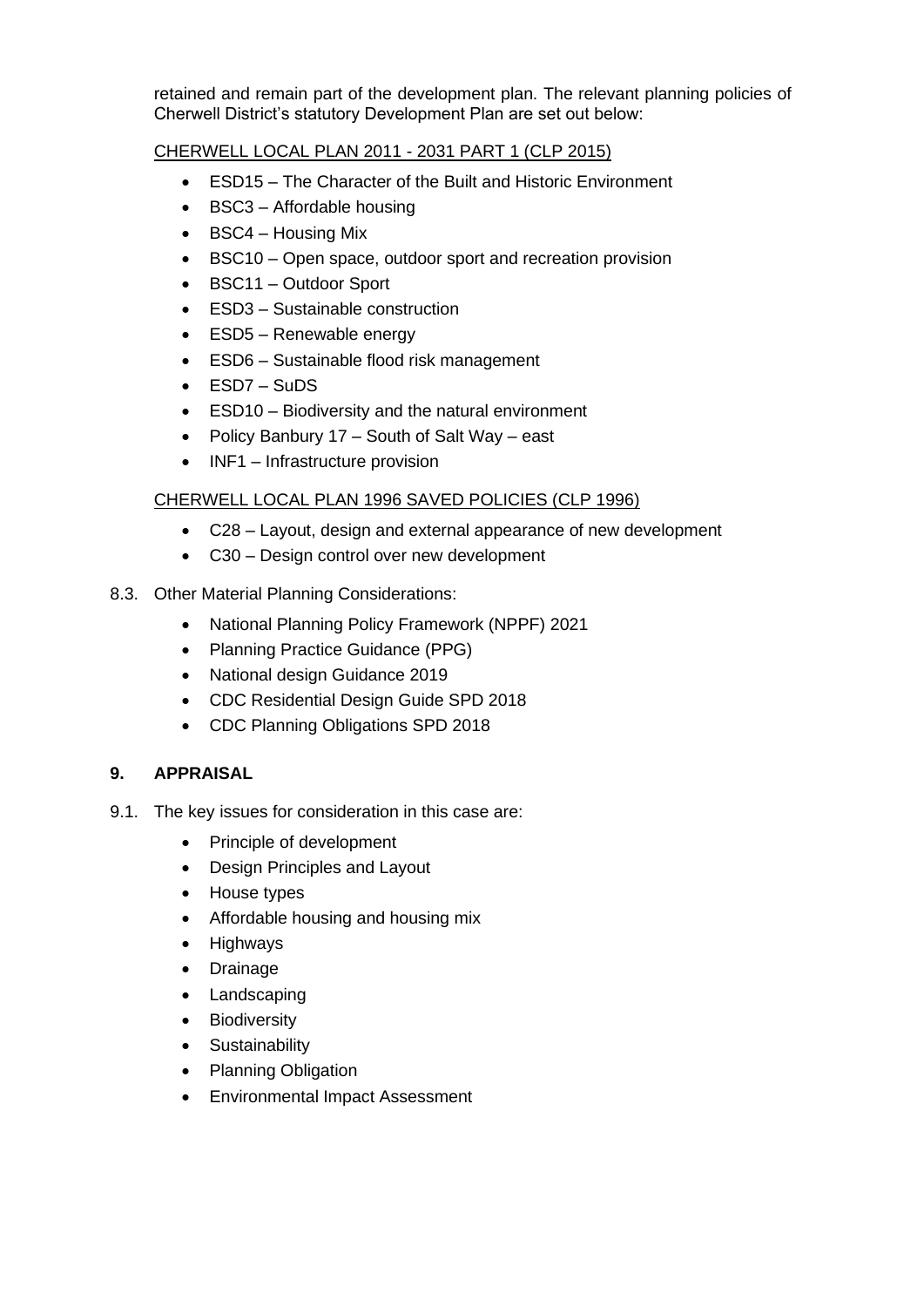retained and remain part of the development plan. The relevant planning policies of Cherwell District's statutory Development Plan are set out below:

# CHERWELL LOCAL PLAN 2011 - 2031 PART 1 (CLP 2015)

- ESD15 The Character of the Built and Historic Environment
- BSC3 Affordable housing
- BSC4 Housing Mix
- BSC10 Open space, outdoor sport and recreation provision
- BSC11 Outdoor Sport
- ESD3 Sustainable construction
- ESD5 Renewable energy
- ESD6 Sustainable flood risk management
- ESD7 SuDS
- ESD10 Biodiversity and the natural environment
- Policy Banbury 17 South of Salt Way east
- INF1 Infrastructure provision

# CHERWELL LOCAL PLAN 1996 SAVED POLICIES (CLP 1996)

- C28 Layout, design and external appearance of new development
- C30 Design control over new development
- 8.3. Other Material Planning Considerations:
	- National Planning Policy Framework (NPPF) 2021
	- Planning Practice Guidance (PPG)
	- National design Guidance 2019
	- CDC Residential Design Guide SPD 2018
	- CDC Planning Obligations SPD 2018

# **9. APPRAISAL**

- 9.1. The key issues for consideration in this case are:
	- Principle of development
	- Design Principles and Layout
	- House types
	- Affordable housing and housing mix
	- Highways
	- Drainage
	- Landscaping
	- Biodiversity
	- Sustainability
	- Planning Obligation
	- Environmental Impact Assessment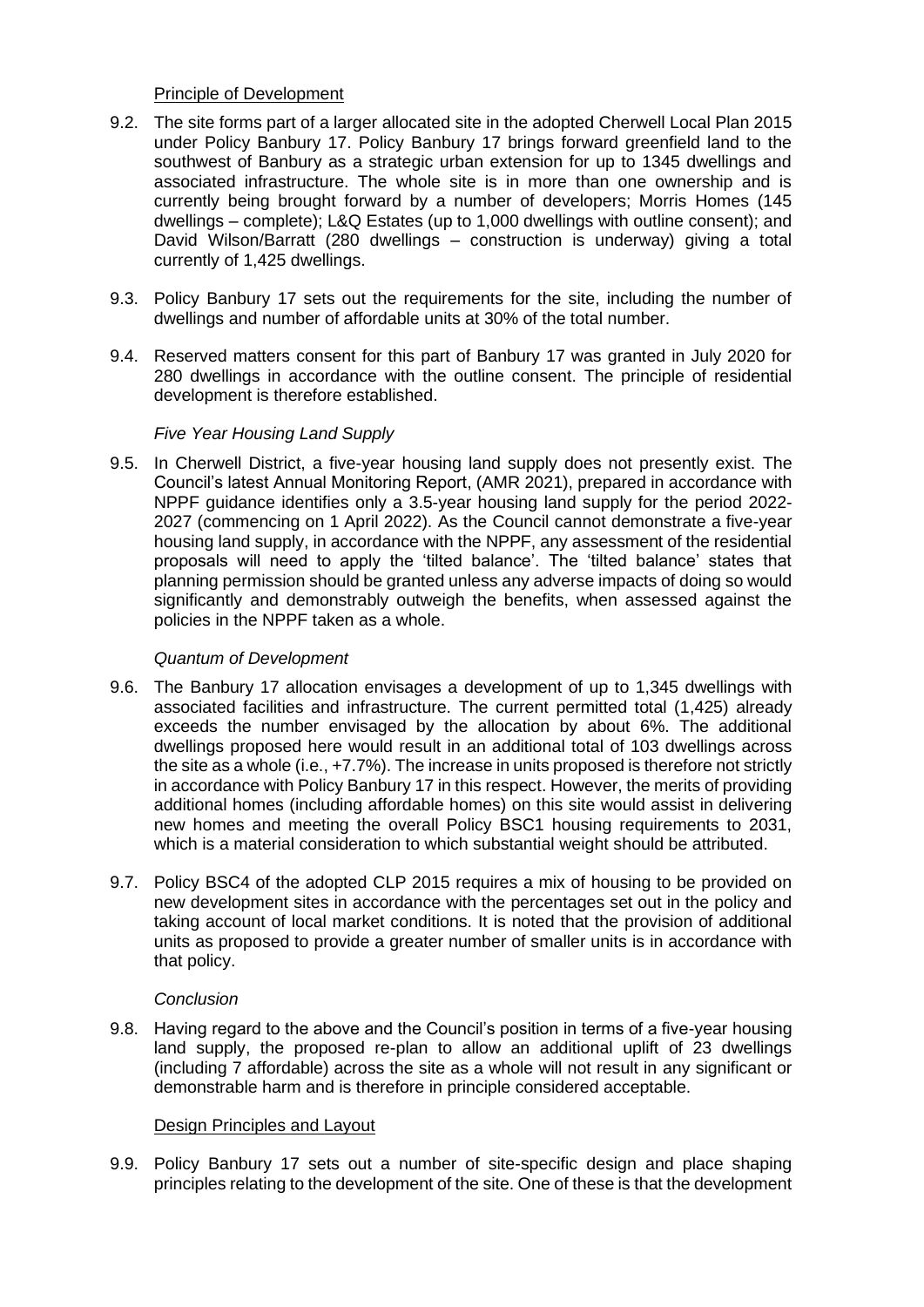# Principle of Development

- 9.2. The site forms part of a larger allocated site in the adopted Cherwell Local Plan 2015 under Policy Banbury 17. Policy Banbury 17 brings forward greenfield land to the southwest of Banbury as a strategic urban extension for up to 1345 dwellings and associated infrastructure. The whole site is in more than one ownership and is currently being brought forward by a number of developers; Morris Homes (145 dwellings – complete); L&Q Estates (up to 1,000 dwellings with outline consent); and David Wilson/Barratt (280 dwellings – construction is underway) giving a total currently of 1,425 dwellings.
- 9.3. Policy Banbury 17 sets out the requirements for the site, including the number of dwellings and number of affordable units at 30% of the total number.
- 9.4. Reserved matters consent for this part of Banbury 17 was granted in July 2020 for 280 dwellings in accordance with the outline consent. The principle of residential development is therefore established.

## *Five Year Housing Land Supply*

9.5. In Cherwell District, a five-year housing land supply does not presently exist. The Council's latest Annual Monitoring Report, (AMR 2021), prepared in accordance with NPPF guidance identifies only a 3.5-year housing land supply for the period 2022- 2027 (commencing on 1 April 2022). As the Council cannot demonstrate a five-year housing land supply, in accordance with the NPPF, any assessment of the residential proposals will need to apply the 'tilted balance'. The 'tilted balance' states that planning permission should be granted unless any adverse impacts of doing so would significantly and demonstrably outweigh the benefits, when assessed against the policies in the NPPF taken as a whole.

#### *Quantum of Development*

- 9.6. The Banbury 17 allocation envisages a development of up to 1,345 dwellings with associated facilities and infrastructure. The current permitted total (1,425) already exceeds the number envisaged by the allocation by about 6%. The additional dwellings proposed here would result in an additional total of 103 dwellings across the site as a whole (i.e., +7.7%). The increase in units proposed is therefore not strictly in accordance with Policy Banbury 17 in this respect. However, the merits of providing additional homes (including affordable homes) on this site would assist in delivering new homes and meeting the overall Policy BSC1 housing requirements to 2031, which is a material consideration to which substantial weight should be attributed.
- 9.7. Policy BSC4 of the adopted CLP 2015 requires a mix of housing to be provided on new development sites in accordance with the percentages set out in the policy and taking account of local market conditions. It is noted that the provision of additional units as proposed to provide a greater number of smaller units is in accordance with that policy.

#### *Conclusion*

9.8. Having regard to the above and the Council's position in terms of a five-year housing land supply, the proposed re-plan to allow an additional uplift of 23 dwellings (including 7 affordable) across the site as a whole will not result in any significant or demonstrable harm and is therefore in principle considered acceptable.

#### Design Principles and Layout

9.9. Policy Banbury 17 sets out a number of site-specific design and place shaping principles relating to the development of the site. One of these is that the development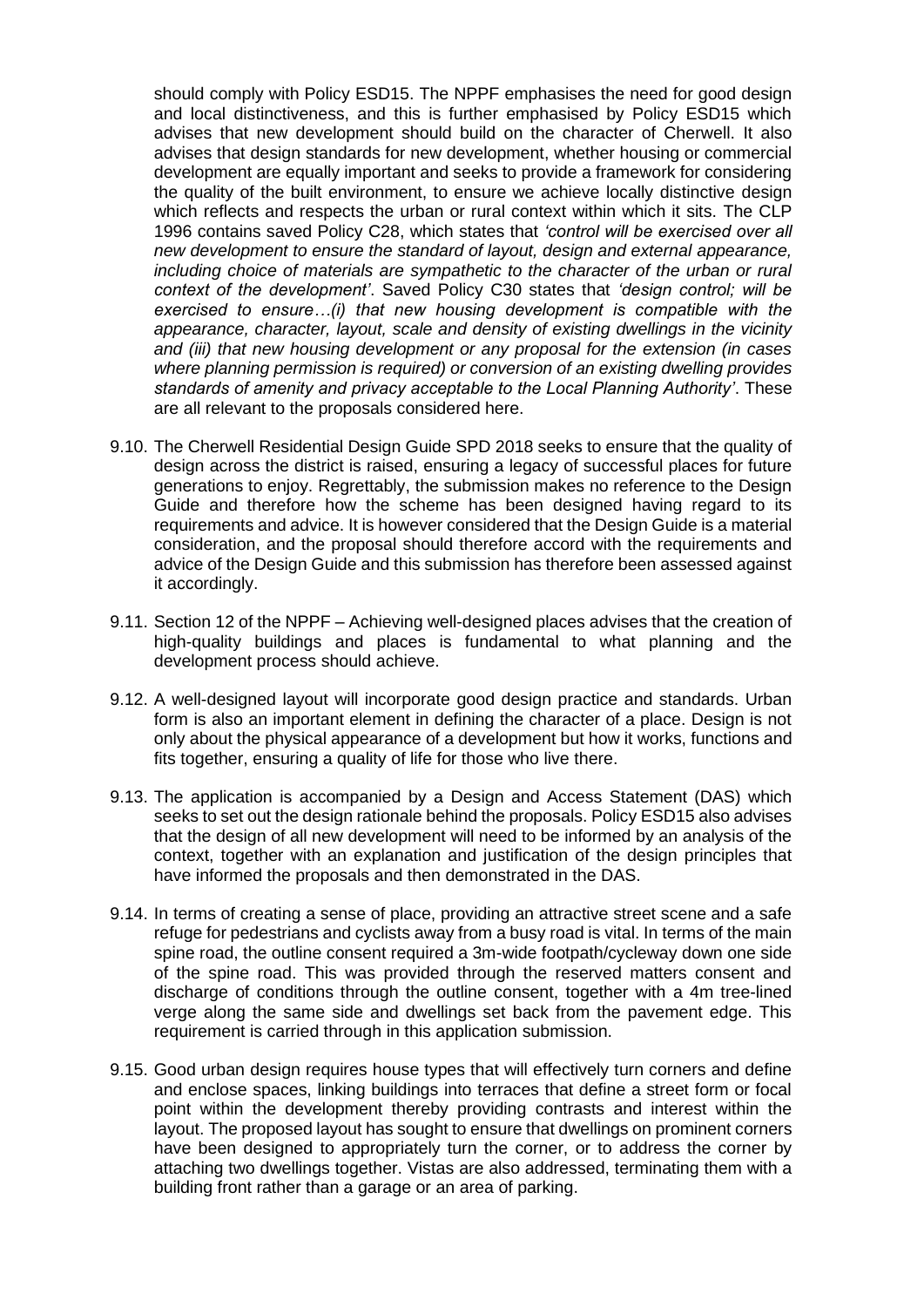should comply with Policy ESD15. The NPPF emphasises the need for good design and local distinctiveness, and this is further emphasised by Policy ESD15 which advises that new development should build on the character of Cherwell. It also advises that design standards for new development, whether housing or commercial development are equally important and seeks to provide a framework for considering the quality of the built environment, to ensure we achieve locally distinctive design which reflects and respects the urban or rural context within which it sits. The CLP 1996 contains saved Policy C28, which states that *'control will be exercised over all new development to ensure the standard of layout, design and external appearance, including choice of materials are sympathetic to the character of the urban or rural context of the development'*. Saved Policy C30 states that *'design control; will be exercised to ensure…(i) that new housing development is compatible with the appearance, character, layout, scale and density of existing dwellings in the vicinity and (iii) that new housing development or any proposal for the extension (in cases where planning permission is required) or conversion of an existing dwelling provides standards of amenity and privacy acceptable to the Local Planning Authority'*. These are all relevant to the proposals considered here.

- 9.10. The Cherwell Residential Design Guide SPD 2018 seeks to ensure that the quality of design across the district is raised, ensuring a legacy of successful places for future generations to enjoy. Regrettably, the submission makes no reference to the Design Guide and therefore how the scheme has been designed having regard to its requirements and advice. It is however considered that the Design Guide is a material consideration, and the proposal should therefore accord with the requirements and advice of the Design Guide and this submission has therefore been assessed against it accordingly.
- 9.11. Section 12 of the NPPF Achieving well-designed places advises that the creation of high-quality buildings and places is fundamental to what planning and the development process should achieve.
- 9.12. A well-designed layout will incorporate good design practice and standards. Urban form is also an important element in defining the character of a place. Design is not only about the physical appearance of a development but how it works, functions and fits together, ensuring a quality of life for those who live there.
- 9.13. The application is accompanied by a Design and Access Statement (DAS) which seeks to set out the design rationale behind the proposals. Policy ESD15 also advises that the design of all new development will need to be informed by an analysis of the context, together with an explanation and justification of the design principles that have informed the proposals and then demonstrated in the DAS.
- 9.14. In terms of creating a sense of place, providing an attractive street scene and a safe refuge for pedestrians and cyclists away from a busy road is vital. In terms of the main spine road, the outline consent required a 3m-wide footpath/cycleway down one side of the spine road. This was provided through the reserved matters consent and discharge of conditions through the outline consent, together with a 4m tree-lined verge along the same side and dwellings set back from the pavement edge. This requirement is carried through in this application submission.
- 9.15. Good urban design requires house types that will effectively turn corners and define and enclose spaces, linking buildings into terraces that define a street form or focal point within the development thereby providing contrasts and interest within the layout. The proposed layout has sought to ensure that dwellings on prominent corners have been designed to appropriately turn the corner, or to address the corner by attaching two dwellings together. Vistas are also addressed, terminating them with a building front rather than a garage or an area of parking.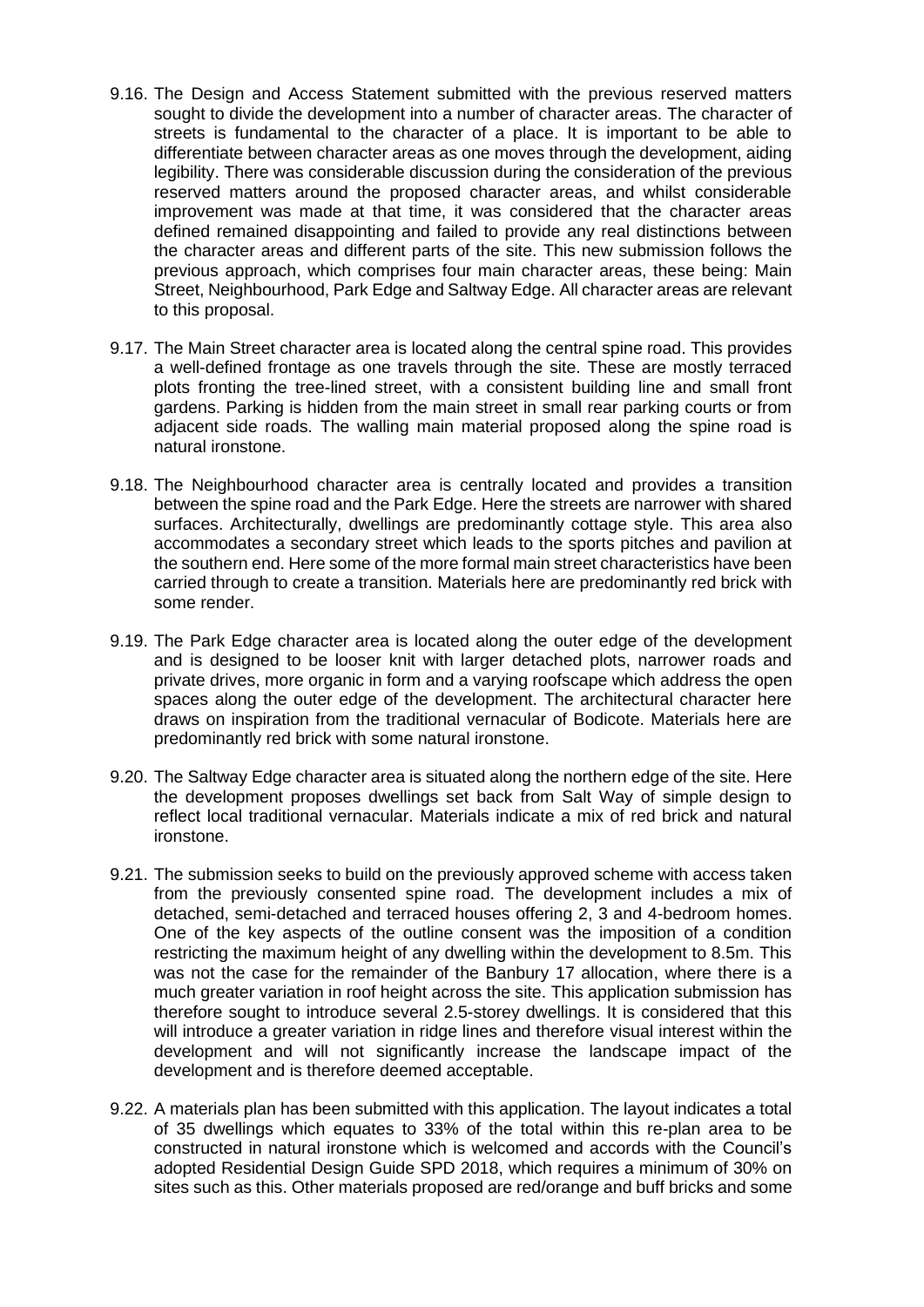- 9.16. The Design and Access Statement submitted with the previous reserved matters sought to divide the development into a number of character areas. The character of streets is fundamental to the character of a place. It is important to be able to differentiate between character areas as one moves through the development, aiding legibility. There was considerable discussion during the consideration of the previous reserved matters around the proposed character areas, and whilst considerable improvement was made at that time, it was considered that the character areas defined remained disappointing and failed to provide any real distinctions between the character areas and different parts of the site. This new submission follows the previous approach, which comprises four main character areas, these being: Main Street, Neighbourhood, Park Edge and Saltway Edge. All character areas are relevant to this proposal.
- 9.17. The Main Street character area is located along the central spine road. This provides a well-defined frontage as one travels through the site. These are mostly terraced plots fronting the tree-lined street, with a consistent building line and small front gardens. Parking is hidden from the main street in small rear parking courts or from adjacent side roads. The walling main material proposed along the spine road is natural ironstone.
- 9.18. The Neighbourhood character area is centrally located and provides a transition between the spine road and the Park Edge. Here the streets are narrower with shared surfaces. Architecturally, dwellings are predominantly cottage style. This area also accommodates a secondary street which leads to the sports pitches and pavilion at the southern end. Here some of the more formal main street characteristics have been carried through to create a transition. Materials here are predominantly red brick with some render.
- 9.19. The Park Edge character area is located along the outer edge of the development and is designed to be looser knit with larger detached plots, narrower roads and private drives, more organic in form and a varying roofscape which address the open spaces along the outer edge of the development. The architectural character here draws on inspiration from the traditional vernacular of Bodicote. Materials here are predominantly red brick with some natural ironstone.
- 9.20. The Saltway Edge character area is situated along the northern edge of the site. Here the development proposes dwellings set back from Salt Way of simple design to reflect local traditional vernacular. Materials indicate a mix of red brick and natural ironstone.
- 9.21. The submission seeks to build on the previously approved scheme with access taken from the previously consented spine road. The development includes a mix of detached, semi-detached and terraced houses offering 2, 3 and 4-bedroom homes. One of the key aspects of the outline consent was the imposition of a condition restricting the maximum height of any dwelling within the development to 8.5m. This was not the case for the remainder of the Banbury 17 allocation, where there is a much greater variation in roof height across the site. This application submission has therefore sought to introduce several 2.5-storey dwellings. It is considered that this will introduce a greater variation in ridge lines and therefore visual interest within the development and will not significantly increase the landscape impact of the development and is therefore deemed acceptable.
- 9.22. A materials plan has been submitted with this application. The layout indicates a total of 35 dwellings which equates to 33% of the total within this re-plan area to be constructed in natural ironstone which is welcomed and accords with the Council's adopted Residential Design Guide SPD 2018, which requires a minimum of 30% on sites such as this. Other materials proposed are red/orange and buff bricks and some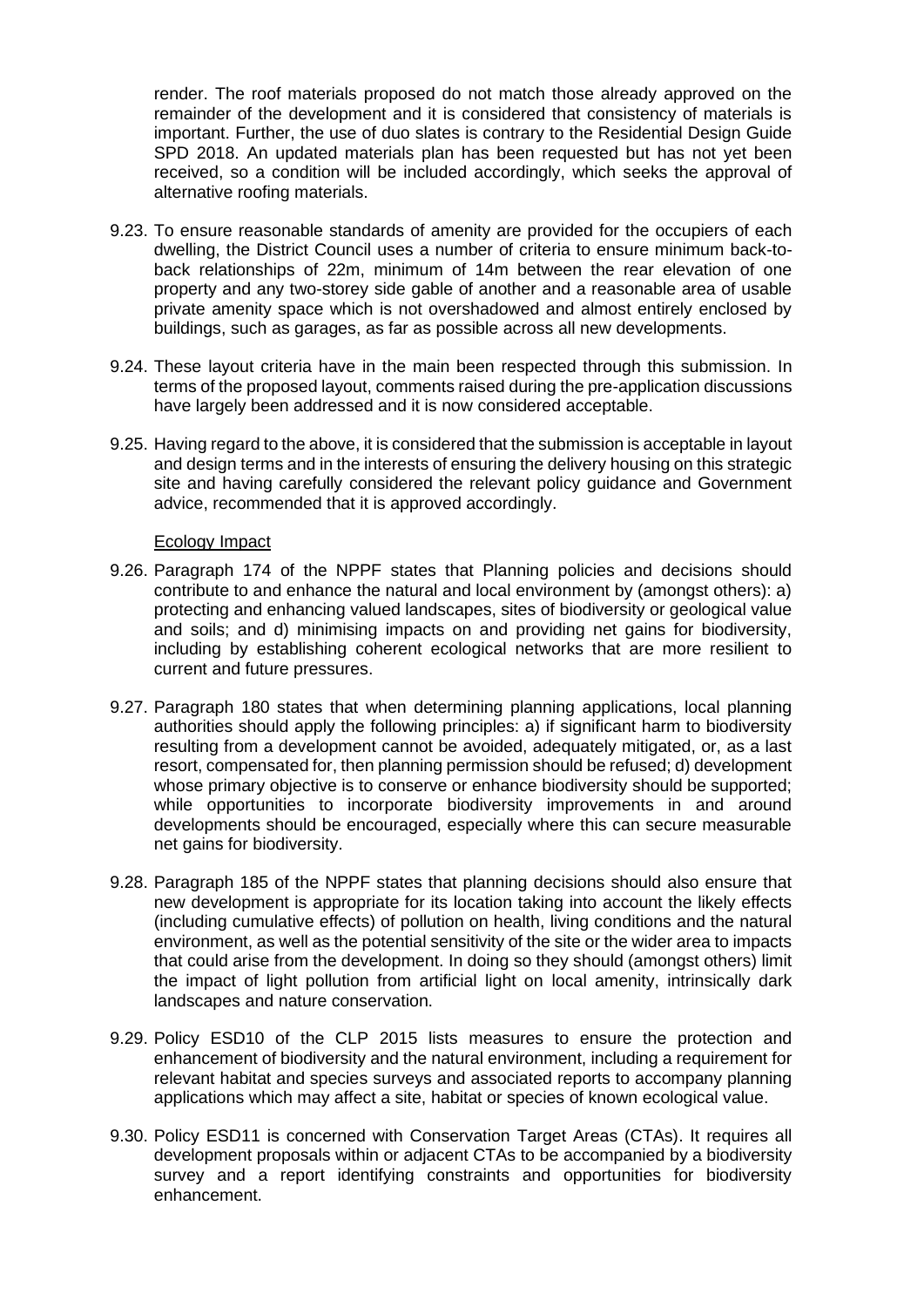render. The roof materials proposed do not match those already approved on the remainder of the development and it is considered that consistency of materials is important. Further, the use of duo slates is contrary to the Residential Design Guide SPD 2018. An updated materials plan has been requested but has not yet been received, so a condition will be included accordingly, which seeks the approval of alternative roofing materials.

- 9.23. To ensure reasonable standards of amenity are provided for the occupiers of each dwelling, the District Council uses a number of criteria to ensure minimum back-toback relationships of 22m, minimum of 14m between the rear elevation of one property and any two-storey side gable of another and a reasonable area of usable private amenity space which is not overshadowed and almost entirely enclosed by buildings, such as garages, as far as possible across all new developments.
- 9.24. These layout criteria have in the main been respected through this submission. In terms of the proposed layout, comments raised during the pre-application discussions have largely been addressed and it is now considered acceptable.
- 9.25. Having regard to the above, it is considered that the submission is acceptable in layout and design terms and in the interests of ensuring the delivery housing on this strategic site and having carefully considered the relevant policy guidance and Government advice, recommended that it is approved accordingly.

#### Ecology Impact

- 9.26. Paragraph 174 of the NPPF states that Planning policies and decisions should contribute to and enhance the natural and local environment by (amongst others): a) protecting and enhancing valued landscapes, sites of biodiversity or geological value and soils; and d) minimising impacts on and providing net gains for biodiversity, including by establishing coherent ecological networks that are more resilient to current and future pressures.
- 9.27. Paragraph 180 states that when determining planning applications, local planning authorities should apply the following principles: a) if significant harm to biodiversity resulting from a development cannot be avoided, adequately mitigated, or, as a last resort, compensated for, then planning permission should be refused; d) development whose primary objective is to conserve or enhance biodiversity should be supported; while opportunities to incorporate biodiversity improvements in and around developments should be encouraged, especially where this can secure measurable net gains for biodiversity.
- 9.28. Paragraph 185 of the NPPF states that planning decisions should also ensure that new development is appropriate for its location taking into account the likely effects (including cumulative effects) of pollution on health, living conditions and the natural environment, as well as the potential sensitivity of the site or the wider area to impacts that could arise from the development. In doing so they should (amongst others) limit the impact of light pollution from artificial light on local amenity, intrinsically dark landscapes and nature conservation.
- 9.29. Policy ESD10 of the CLP 2015 lists measures to ensure the protection and enhancement of biodiversity and the natural environment, including a requirement for relevant habitat and species surveys and associated reports to accompany planning applications which may affect a site, habitat or species of known ecological value.
- 9.30. Policy ESD11 is concerned with Conservation Target Areas (CTAs). It requires all development proposals within or adjacent CTAs to be accompanied by a biodiversity survey and a report identifying constraints and opportunities for biodiversity enhancement.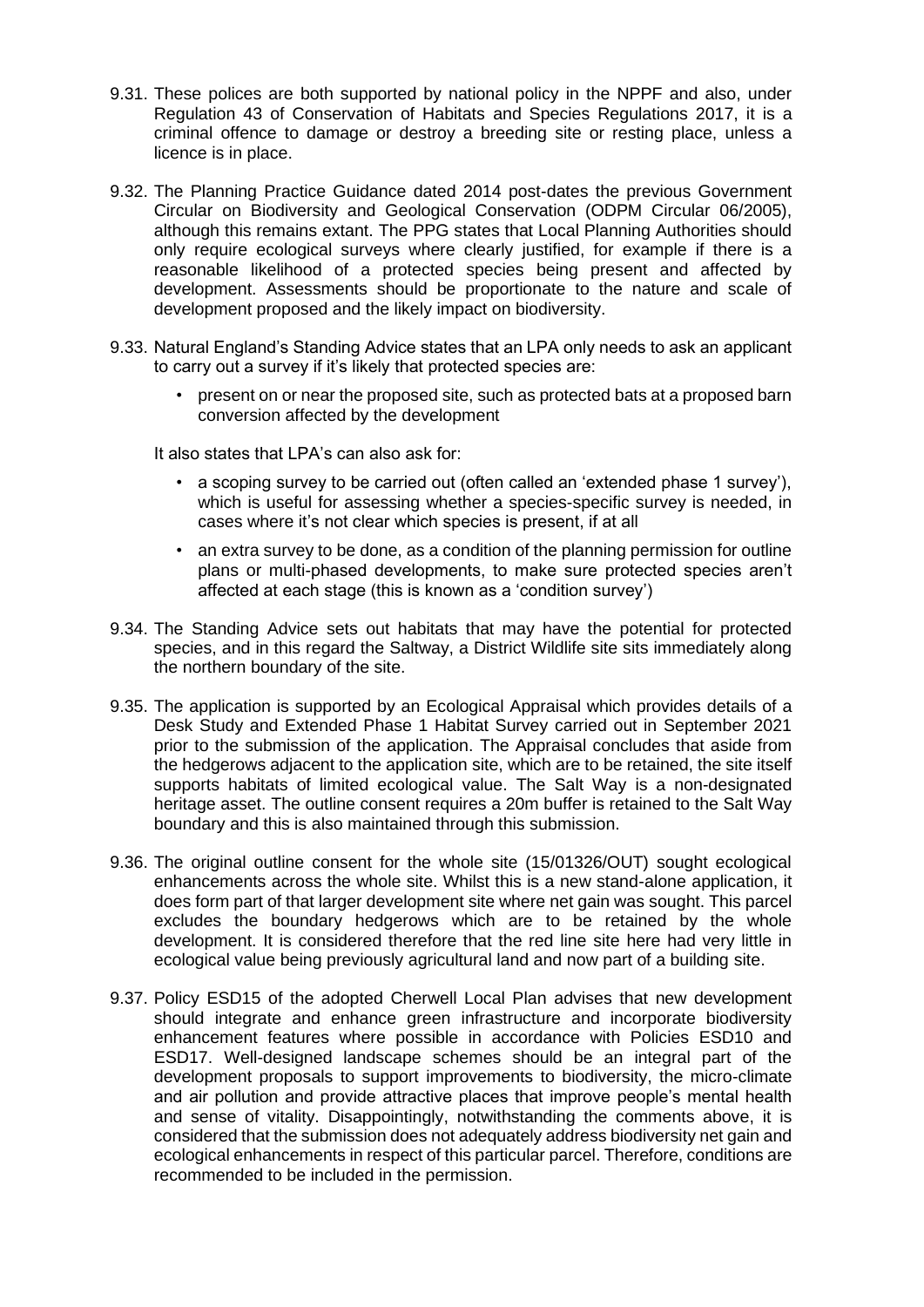- 9.31. These polices are both supported by national policy in the NPPF and also, under Regulation 43 of Conservation of Habitats and Species Regulations 2017, it is a criminal offence to damage or destroy a breeding site or resting place, unless a licence is in place.
- 9.32. The Planning Practice Guidance dated 2014 post-dates the previous Government Circular on Biodiversity and Geological Conservation (ODPM Circular 06/2005), although this remains extant. The PPG states that Local Planning Authorities should only require ecological surveys where clearly justified, for example if there is a reasonable likelihood of a protected species being present and affected by development. Assessments should be proportionate to the nature and scale of development proposed and the likely impact on biodiversity.
- 9.33. Natural England's Standing Advice states that an LPA only needs to ask an applicant to carry out a survey if it's likely that protected species are:
	- present on or near the proposed site, such as protected bats at a proposed barn conversion affected by the development

It also states that LPA's can also ask for:

- a scoping survey to be carried out (often called an 'extended phase 1 survey'), which is useful for assessing whether a species-specific survey is needed, in cases where it's not clear which species is present, if at all
- an extra survey to be done, as a condition of the planning permission for outline plans or multi-phased developments, to make sure protected species aren't affected at each stage (this is known as a 'condition survey')
- 9.34. The Standing Advice sets out habitats that may have the potential for protected species, and in this regard the Saltway, a District Wildlife site sits immediately along the northern boundary of the site.
- 9.35. The application is supported by an Ecological Appraisal which provides details of a Desk Study and Extended Phase 1 Habitat Survey carried out in September 2021 prior to the submission of the application. The Appraisal concludes that aside from the hedgerows adjacent to the application site, which are to be retained, the site itself supports habitats of limited ecological value. The Salt Way is a non-designated heritage asset. The outline consent requires a 20m buffer is retained to the Salt Way boundary and this is also maintained through this submission.
- 9.36. The original outline consent for the whole site (15/01326/OUT) sought ecological enhancements across the whole site. Whilst this is a new stand-alone application, it does form part of that larger development site where net gain was sought. This parcel excludes the boundary hedgerows which are to be retained by the whole development. It is considered therefore that the red line site here had very little in ecological value being previously agricultural land and now part of a building site.
- 9.37. Policy ESD15 of the adopted Cherwell Local Plan advises that new development should integrate and enhance green infrastructure and incorporate biodiversity enhancement features where possible in accordance with Policies ESD10 and ESD17. Well-designed landscape schemes should be an integral part of the development proposals to support improvements to biodiversity, the micro-climate and air pollution and provide attractive places that improve people's mental health and sense of vitality. Disappointingly, notwithstanding the comments above, it is considered that the submission does not adequately address biodiversity net gain and ecological enhancements in respect of this particular parcel. Therefore, conditions are recommended to be included in the permission.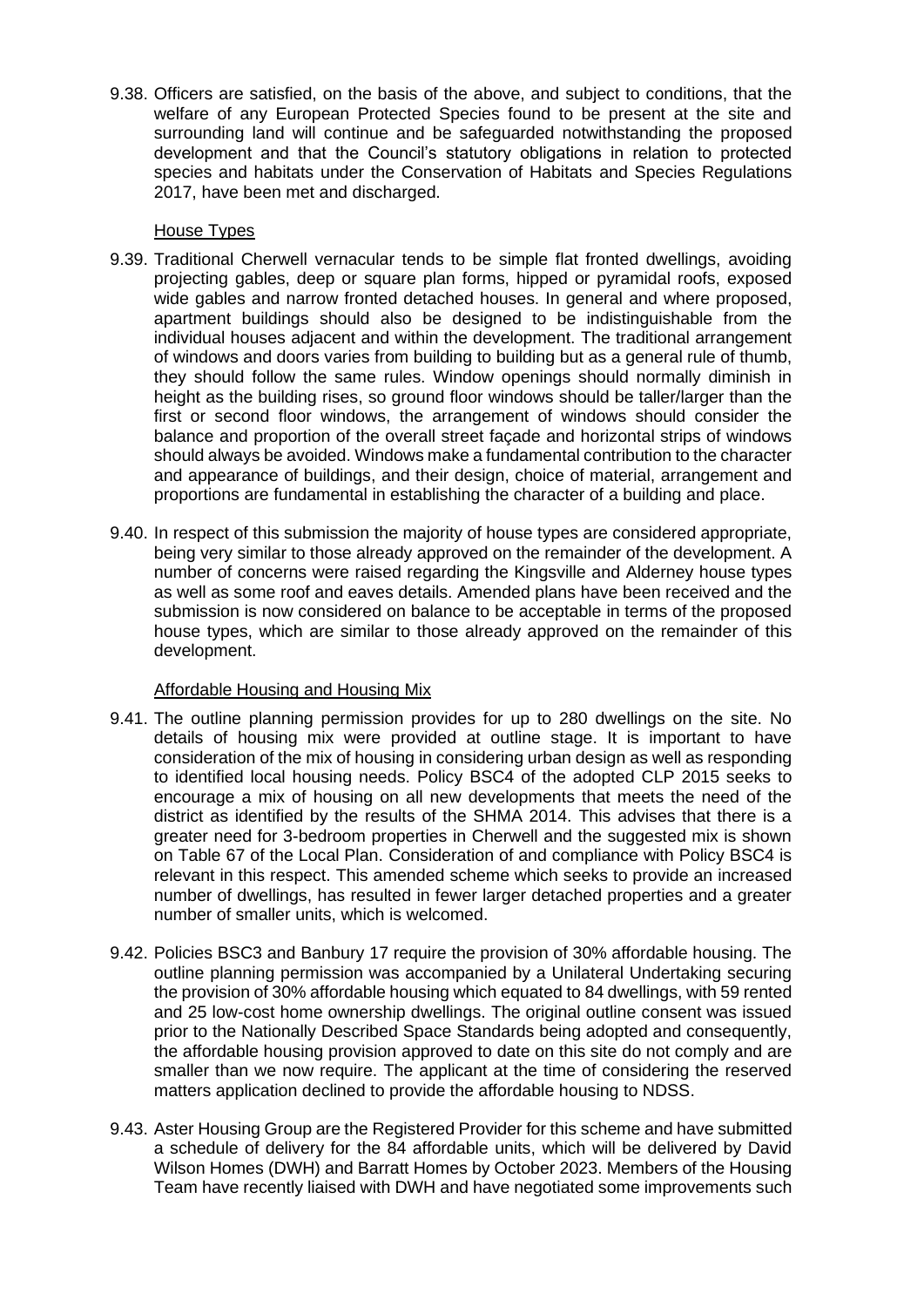9.38. Officers are satisfied, on the basis of the above, and subject to conditions, that the welfare of any European Protected Species found to be present at the site and surrounding land will continue and be safeguarded notwithstanding the proposed development and that the Council's statutory obligations in relation to protected species and habitats under the Conservation of Habitats and Species Regulations 2017, have been met and discharged.

# House Types

- 9.39. Traditional Cherwell vernacular tends to be simple flat fronted dwellings, avoiding projecting gables, deep or square plan forms, hipped or pyramidal roofs, exposed wide gables and narrow fronted detached houses. In general and where proposed, apartment buildings should also be designed to be indistinguishable from the individual houses adjacent and within the development. The traditional arrangement of windows and doors varies from building to building but as a general rule of thumb, they should follow the same rules. Window openings should normally diminish in height as the building rises, so ground floor windows should be taller/larger than the first or second floor windows, the arrangement of windows should consider the balance and proportion of the overall street façade and horizontal strips of windows should always be avoided. Windows make a fundamental contribution to the character and appearance of buildings, and their design, choice of material, arrangement and proportions are fundamental in establishing the character of a building and place.
- 9.40. In respect of this submission the majority of house types are considered appropriate, being very similar to those already approved on the remainder of the development. A number of concerns were raised regarding the Kingsville and Alderney house types as well as some roof and eaves details. Amended plans have been received and the submission is now considered on balance to be acceptable in terms of the proposed house types, which are similar to those already approved on the remainder of this development.

# Affordable Housing and Housing Mix

- 9.41. The outline planning permission provides for up to 280 dwellings on the site. No details of housing mix were provided at outline stage. It is important to have consideration of the mix of housing in considering urban design as well as responding to identified local housing needs. Policy BSC4 of the adopted CLP 2015 seeks to encourage a mix of housing on all new developments that meets the need of the district as identified by the results of the SHMA 2014. This advises that there is a greater need for 3-bedroom properties in Cherwell and the suggested mix is shown on Table 67 of the Local Plan. Consideration of and compliance with Policy BSC4 is relevant in this respect. This amended scheme which seeks to provide an increased number of dwellings, has resulted in fewer larger detached properties and a greater number of smaller units, which is welcomed.
- 9.42. Policies BSC3 and Banbury 17 require the provision of 30% affordable housing. The outline planning permission was accompanied by a Unilateral Undertaking securing the provision of 30% affordable housing which equated to 84 dwellings, with 59 rented and 25 low-cost home ownership dwellings. The original outline consent was issued prior to the Nationally Described Space Standards being adopted and consequently, the affordable housing provision approved to date on this site do not comply and are smaller than we now require. The applicant at the time of considering the reserved matters application declined to provide the affordable housing to NDSS.
- 9.43. Aster Housing Group are the Registered Provider for this scheme and have submitted a schedule of delivery for the 84 affordable units, which will be delivered by David Wilson Homes (DWH) and Barratt Homes by October 2023. Members of the Housing Team have recently liaised with DWH and have negotiated some improvements such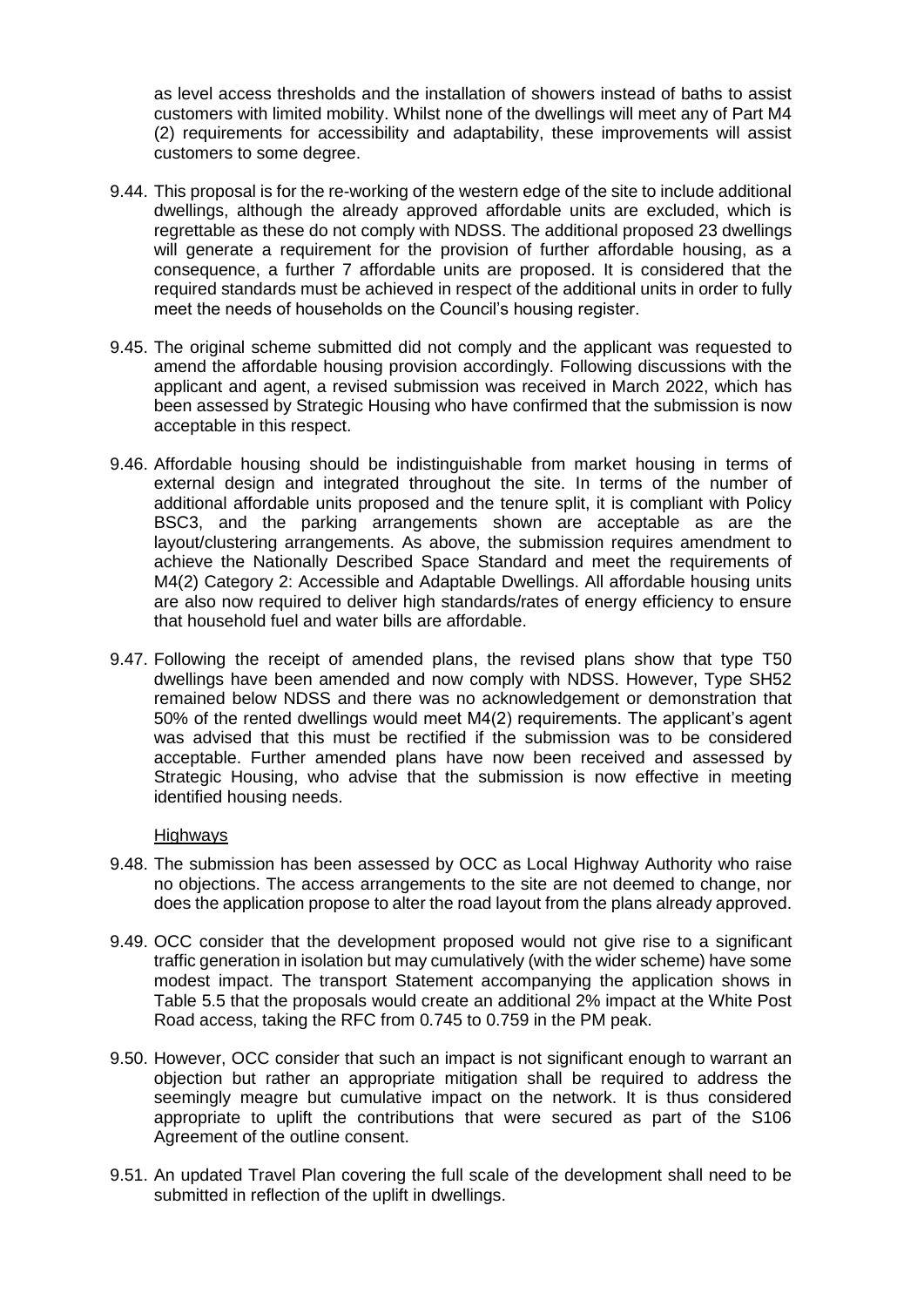as level access thresholds and the installation of showers instead of baths to assist customers with limited mobility. Whilst none of the dwellings will meet any of Part M4 (2) requirements for accessibility and adaptability, these improvements will assist customers to some degree.

- 9.44. This proposal is for the re-working of the western edge of the site to include additional dwellings, although the already approved affordable units are excluded, which is regrettable as these do not comply with NDSS. The additional proposed 23 dwellings will generate a requirement for the provision of further affordable housing, as a consequence, a further 7 affordable units are proposed. It is considered that the required standards must be achieved in respect of the additional units in order to fully meet the needs of households on the Council's housing register.
- 9.45. The original scheme submitted did not comply and the applicant was requested to amend the affordable housing provision accordingly. Following discussions with the applicant and agent, a revised submission was received in March 2022, which has been assessed by Strategic Housing who have confirmed that the submission is now acceptable in this respect.
- 9.46. Affordable housing should be indistinguishable from market housing in terms of external design and integrated throughout the site. In terms of the number of additional affordable units proposed and the tenure split, it is compliant with Policy BSC3, and the parking arrangements shown are acceptable as are the layout/clustering arrangements. As above, the submission requires amendment to achieve the Nationally Described Space Standard and meet the requirements of M4(2) Category 2: Accessible and Adaptable Dwellings. All affordable housing units are also now required to deliver high standards/rates of energy efficiency to ensure that household fuel and water bills are affordable.
- 9.47. Following the receipt of amended plans, the revised plans show that type T50 dwellings have been amended and now comply with NDSS. However, Type SH52 remained below NDSS and there was no acknowledgement or demonstration that 50% of the rented dwellings would meet M4(2) requirements. The applicant's agent was advised that this must be rectified if the submission was to be considered acceptable. Further amended plans have now been received and assessed by Strategic Housing, who advise that the submission is now effective in meeting identified housing needs.

#### Highways

- 9.48. The submission has been assessed by OCC as Local Highway Authority who raise no objections. The access arrangements to the site are not deemed to change, nor does the application propose to alter the road layout from the plans already approved.
- 9.49. OCC consider that the development proposed would not give rise to a significant traffic generation in isolation but may cumulatively (with the wider scheme) have some modest impact. The transport Statement accompanying the application shows in Table 5.5 that the proposals would create an additional 2% impact at the White Post Road access, taking the RFC from 0.745 to 0.759 in the PM peak.
- 9.50. However, OCC consider that such an impact is not significant enough to warrant an objection but rather an appropriate mitigation shall be required to address the seemingly meagre but cumulative impact on the network. It is thus considered appropriate to uplift the contributions that were secured as part of the S106 Agreement of the outline consent.
- 9.51. An updated Travel Plan covering the full scale of the development shall need to be submitted in reflection of the uplift in dwellings.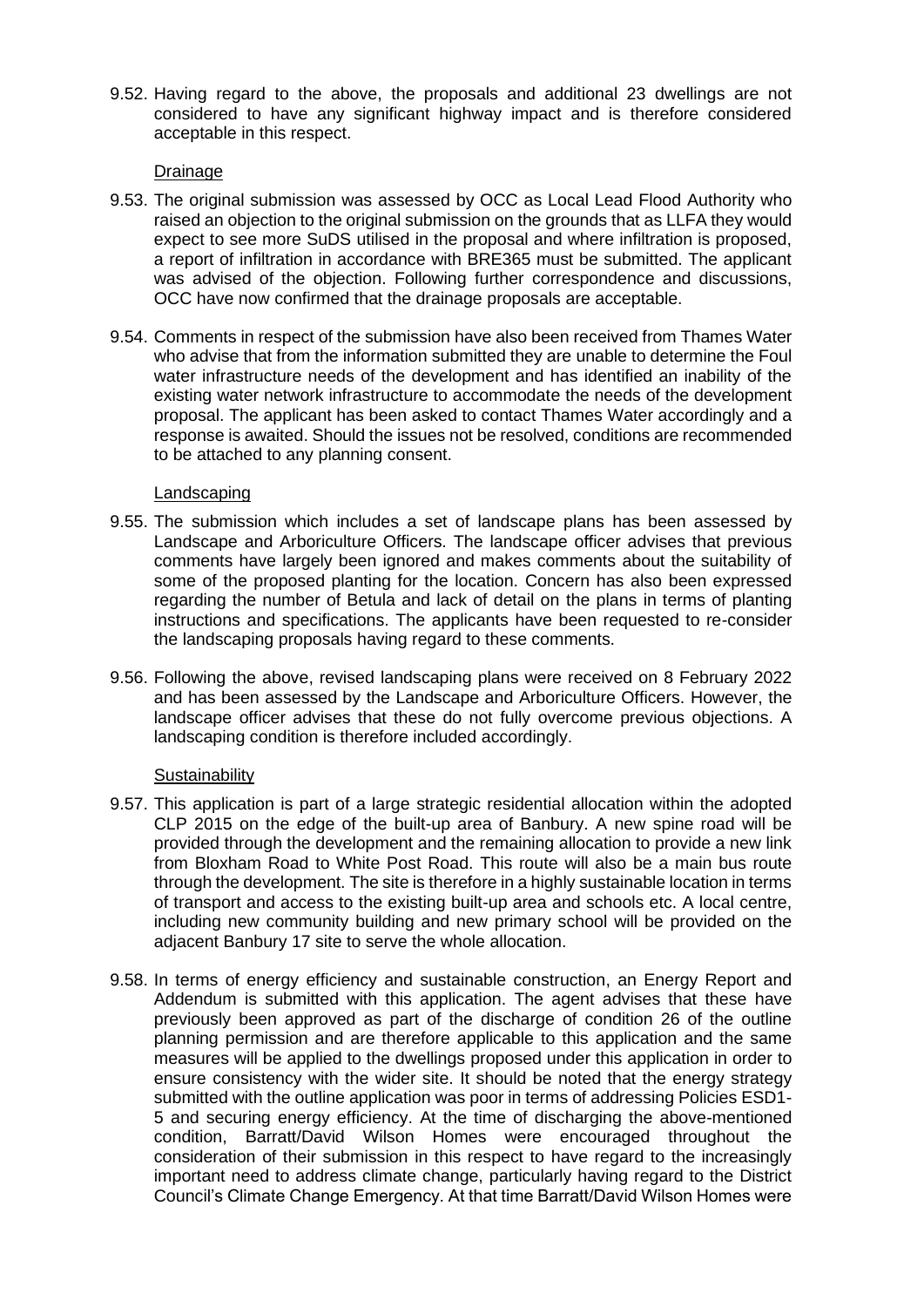9.52. Having regard to the above, the proposals and additional 23 dwellings are not considered to have any significant highway impact and is therefore considered acceptable in this respect.

## Drainage

- 9.53. The original submission was assessed by OCC as Local Lead Flood Authority who raised an objection to the original submission on the grounds that as LLFA they would expect to see more SuDS utilised in the proposal and where infiltration is proposed, a report of infiltration in accordance with BRE365 must be submitted. The applicant was advised of the objection. Following further correspondence and discussions, OCC have now confirmed that the drainage proposals are acceptable.
- 9.54. Comments in respect of the submission have also been received from Thames Water who advise that from the information submitted they are unable to determine the Foul water infrastructure needs of the development and has identified an inability of the existing water network infrastructure to accommodate the needs of the development proposal. The applicant has been asked to contact Thames Water accordingly and a response is awaited. Should the issues not be resolved, conditions are recommended to be attached to any planning consent.

## Landscaping

- 9.55. The submission which includes a set of landscape plans has been assessed by Landscape and Arboriculture Officers. The landscape officer advises that previous comments have largely been ignored and makes comments about the suitability of some of the proposed planting for the location. Concern has also been expressed regarding the number of Betula and lack of detail on the plans in terms of planting instructions and specifications. The applicants have been requested to re-consider the landscaping proposals having regard to these comments.
- 9.56. Following the above, revised landscaping plans were received on 8 February 2022 and has been assessed by the Landscape and Arboriculture Officers. However, the landscape officer advises that these do not fully overcome previous objections. A landscaping condition is therefore included accordingly.

# **Sustainability**

- 9.57. This application is part of a large strategic residential allocation within the adopted CLP 2015 on the edge of the built-up area of Banbury. A new spine road will be provided through the development and the remaining allocation to provide a new link from Bloxham Road to White Post Road. This route will also be a main bus route through the development. The site is therefore in a highly sustainable location in terms of transport and access to the existing built-up area and schools etc. A local centre, including new community building and new primary school will be provided on the adjacent Banbury 17 site to serve the whole allocation.
- 9.58. In terms of energy efficiency and sustainable construction, an Energy Report and Addendum is submitted with this application. The agent advises that these have previously been approved as part of the discharge of condition 26 of the outline planning permission and are therefore applicable to this application and the same measures will be applied to the dwellings proposed under this application in order to ensure consistency with the wider site. It should be noted that the energy strategy submitted with the outline application was poor in terms of addressing Policies ESD1- 5 and securing energy efficiency. At the time of discharging the above-mentioned condition, Barratt/David Wilson Homes were encouraged throughout the consideration of their submission in this respect to have regard to the increasingly important need to address climate change, particularly having regard to the District Council's Climate Change Emergency. At that time Barratt/David Wilson Homes were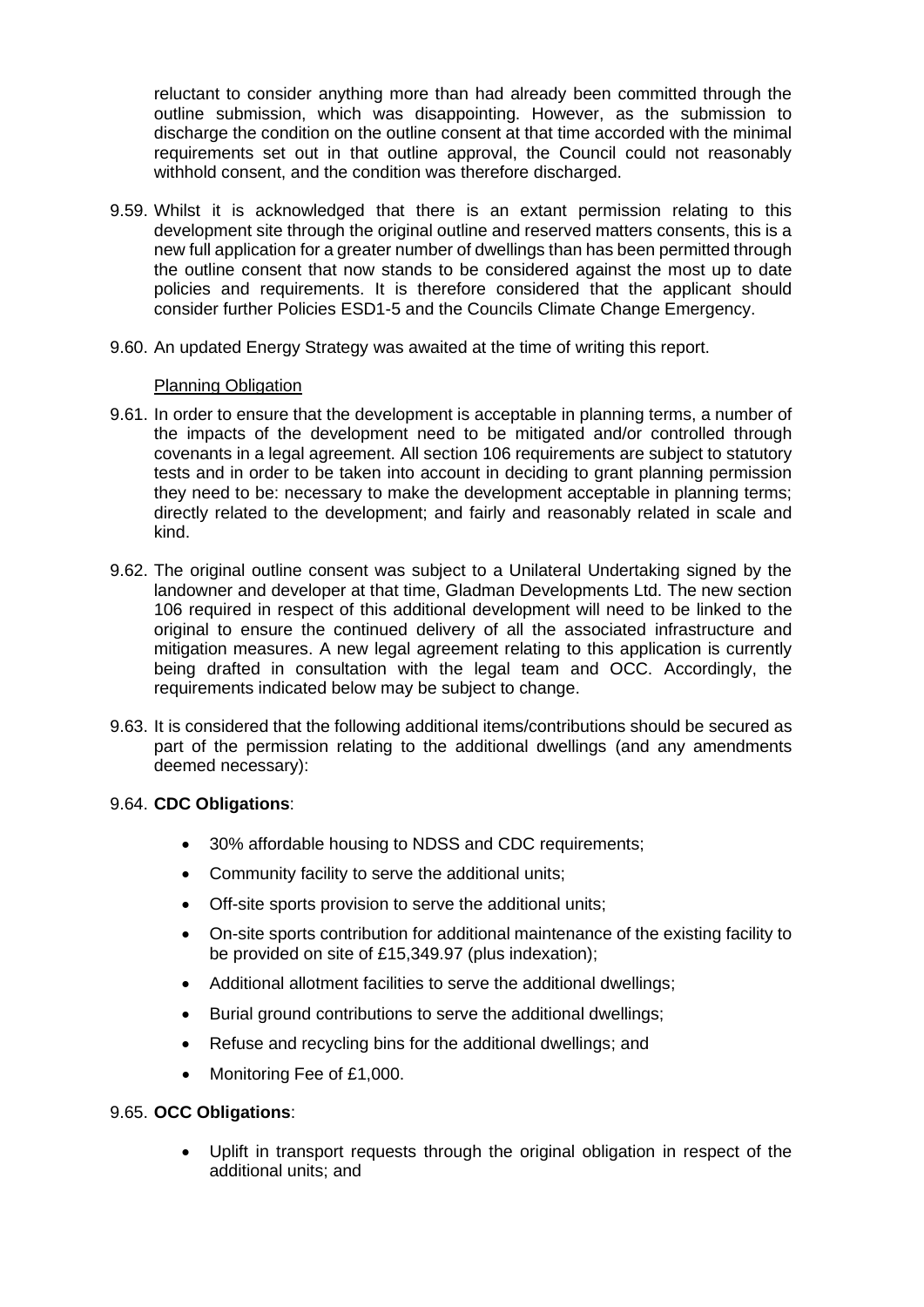reluctant to consider anything more than had already been committed through the outline submission, which was disappointing. However, as the submission to discharge the condition on the outline consent at that time accorded with the minimal requirements set out in that outline approval, the Council could not reasonably withhold consent, and the condition was therefore discharged.

- 9.59. Whilst it is acknowledged that there is an extant permission relating to this development site through the original outline and reserved matters consents, this is a new full application for a greater number of dwellings than has been permitted through the outline consent that now stands to be considered against the most up to date policies and requirements. It is therefore considered that the applicant should consider further Policies ESD1-5 and the Councils Climate Change Emergency.
- 9.60. An updated Energy Strategy was awaited at the time of writing this report.

## Planning Obligation

- 9.61. In order to ensure that the development is acceptable in planning terms, a number of the impacts of the development need to be mitigated and/or controlled through covenants in a legal agreement. All section 106 requirements are subject to statutory tests and in order to be taken into account in deciding to grant planning permission they need to be: necessary to make the development acceptable in planning terms; directly related to the development; and fairly and reasonably related in scale and kind.
- 9.62. The original outline consent was subject to a Unilateral Undertaking signed by the landowner and developer at that time, Gladman Developments Ltd. The new section 106 required in respect of this additional development will need to be linked to the original to ensure the continued delivery of all the associated infrastructure and mitigation measures. A new legal agreement relating to this application is currently being drafted in consultation with the legal team and OCC. Accordingly, the requirements indicated below may be subject to change.
- 9.63. It is considered that the following additional items/contributions should be secured as part of the permission relating to the additional dwellings (and any amendments deemed necessary):

# 9.64. **CDC Obligations**:

- 30% affordable housing to NDSS and CDC requirements;
- Community facility to serve the additional units;
- Off-site sports provision to serve the additional units;
- On-site sports contribution for additional maintenance of the existing facility to be provided on site of £15,349.97 (plus indexation);
- Additional allotment facilities to serve the additional dwellings;
- Burial ground contributions to serve the additional dwellings;
- Refuse and recycling bins for the additional dwellings; and
- Monitoring Fee of £1,000.

# 9.65. **OCC Obligations**:

• Uplift in transport requests through the original obligation in respect of the additional units; and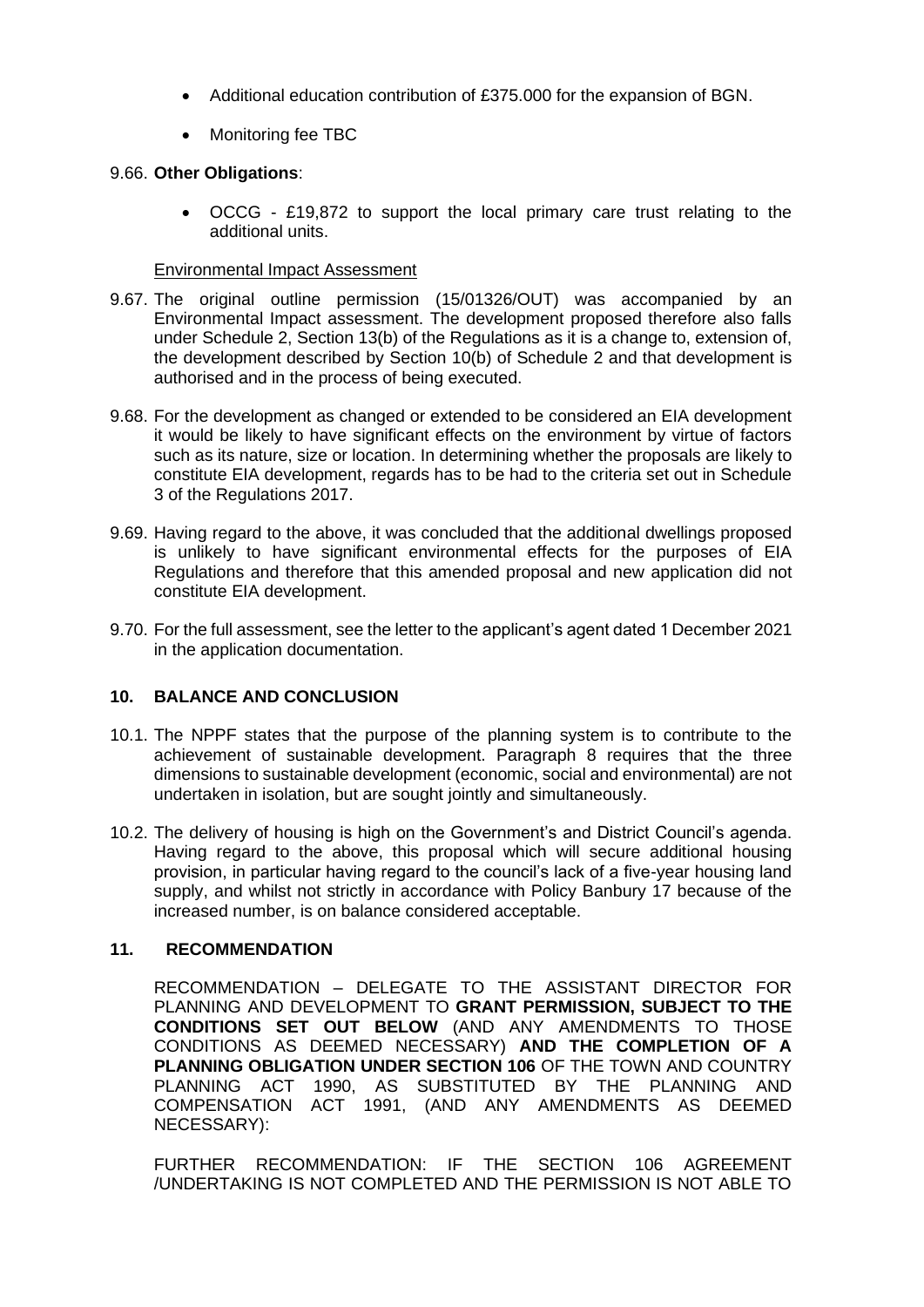- Additional education contribution of £375.000 for the expansion of BGN.
- Monitoring fee TBC

# 9.66. **Other Obligations**:

• OCCG - £19,872 to support the local primary care trust relating to the additional units.

# Environmental Impact Assessment

- 9.67. The original outline permission (15/01326/OUT) was accompanied by an Environmental Impact assessment. The development proposed therefore also falls under Schedule 2, Section 13(b) of the Regulations as it is a change to, extension of, the development described by Section 10(b) of Schedule 2 and that development is authorised and in the process of being executed.
- 9.68. For the development as changed or extended to be considered an EIA development it would be likely to have significant effects on the environment by virtue of factors such as its nature, size or location. In determining whether the proposals are likely to constitute EIA development, regards has to be had to the criteria set out in Schedule 3 of the Regulations 2017.
- 9.69. Having regard to the above, it was concluded that the additional dwellings proposed is unlikely to have significant environmental effects for the purposes of EIA Regulations and therefore that this amended proposal and new application did not constitute EIA development.
- 9.70. For the full assessment, see the letter to the applicant's agent dated 1December 2021 in the application documentation.

# **10. BALANCE AND CONCLUSION**

- 10.1. The NPPF states that the purpose of the planning system is to contribute to the achievement of sustainable development. Paragraph 8 requires that the three dimensions to sustainable development (economic, social and environmental) are not undertaken in isolation, but are sought jointly and simultaneously.
- 10.2. The delivery of housing is high on the Government's and District Council's agenda. Having regard to the above, this proposal which will secure additional housing provision, in particular having regard to the council's lack of a five-year housing land supply, and whilst not strictly in accordance with Policy Banbury 17 because of the increased number, is on balance considered acceptable.

# **11. RECOMMENDATION**

RECOMMENDATION – DELEGATE TO THE ASSISTANT DIRECTOR FOR PLANNING AND DEVELOPMENT TO **GRANT PERMISSION, SUBJECT TO THE CONDITIONS SET OUT BELOW** (AND ANY AMENDMENTS TO THOSE CONDITIONS AS DEEMED NECESSARY) **AND THE COMPLETION OF A PLANNING OBLIGATION UNDER SECTION 106** OF THE TOWN AND COUNTRY PLANNING ACT 1990, AS SUBSTITUTED BY THE PLANNING AND COMPENSATION ACT 1991, (AND ANY AMENDMENTS AS DEEMED NECESSARY):

FURTHER RECOMMENDATION: IF THE SECTION 106 AGREEMENT /UNDERTAKING IS NOT COMPLETED AND THE PERMISSION IS NOT ABLE TO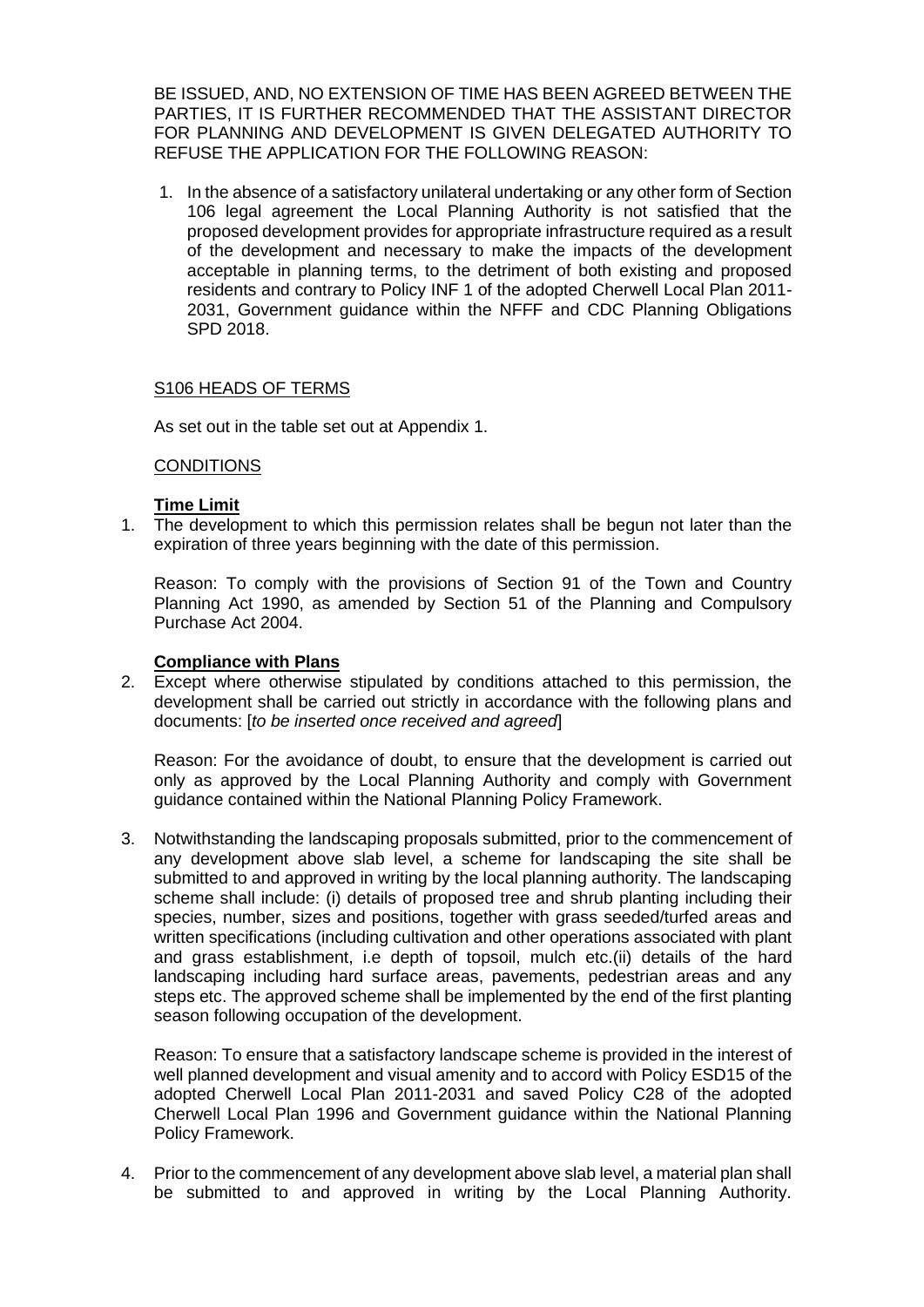BE ISSUED, AND, NO EXTENSION OF TIME HAS BEEN AGREED BETWEEN THE PARTIES, IT IS FURTHER RECOMMENDED THAT THE ASSISTANT DIRECTOR FOR PLANNING AND DEVELOPMENT IS GIVEN DELEGATED AUTHORITY TO REFUSE THE APPLICATION FOR THE FOLLOWING REASON:

1. In the absence of a satisfactory unilateral undertaking or any other form of Section 106 legal agreement the Local Planning Authority is not satisfied that the proposed development provides for appropriate infrastructure required as a result of the development and necessary to make the impacts of the development acceptable in planning terms, to the detriment of both existing and proposed residents and contrary to Policy INF 1 of the adopted Cherwell Local Plan 2011- 2031, Government guidance within the NFFF and CDC Planning Obligations SPD 2018.

## S106 HEADS OF TERMS

As set out in the table set out at Appendix 1.

## **CONDITIONS**

## **Time Limit**

1. The development to which this permission relates shall be begun not later than the expiration of three years beginning with the date of this permission.

Reason: To comply with the provisions of Section 91 of the Town and Country Planning Act 1990, as amended by Section 51 of the Planning and Compulsory Purchase Act 2004.

# **Compliance with Plans**

2. Except where otherwise stipulated by conditions attached to this permission, the development shall be carried out strictly in accordance with the following plans and documents: [*to be inserted once received and agreed*]

Reason: For the avoidance of doubt, to ensure that the development is carried out only as approved by the Local Planning Authority and comply with Government guidance contained within the National Planning Policy Framework.

3. Notwithstanding the landscaping proposals submitted, prior to the commencement of any development above slab level, a scheme for landscaping the site shall be submitted to and approved in writing by the local planning authority. The landscaping scheme shall include: (i) details of proposed tree and shrub planting including their species, number, sizes and positions, together with grass seeded/turfed areas and written specifications (including cultivation and other operations associated with plant and grass establishment, i.e depth of topsoil, mulch etc.(ii) details of the hard landscaping including hard surface areas, pavements, pedestrian areas and any steps etc. The approved scheme shall be implemented by the end of the first planting season following occupation of the development.

Reason: To ensure that a satisfactory landscape scheme is provided in the interest of well planned development and visual amenity and to accord with Policy ESD15 of the adopted Cherwell Local Plan 2011-2031 and saved Policy C28 of the adopted Cherwell Local Plan 1996 and Government guidance within the National Planning Policy Framework.

4. Prior to the commencement of any development above slab level, a material plan shall be submitted to and approved in writing by the Local Planning Authority.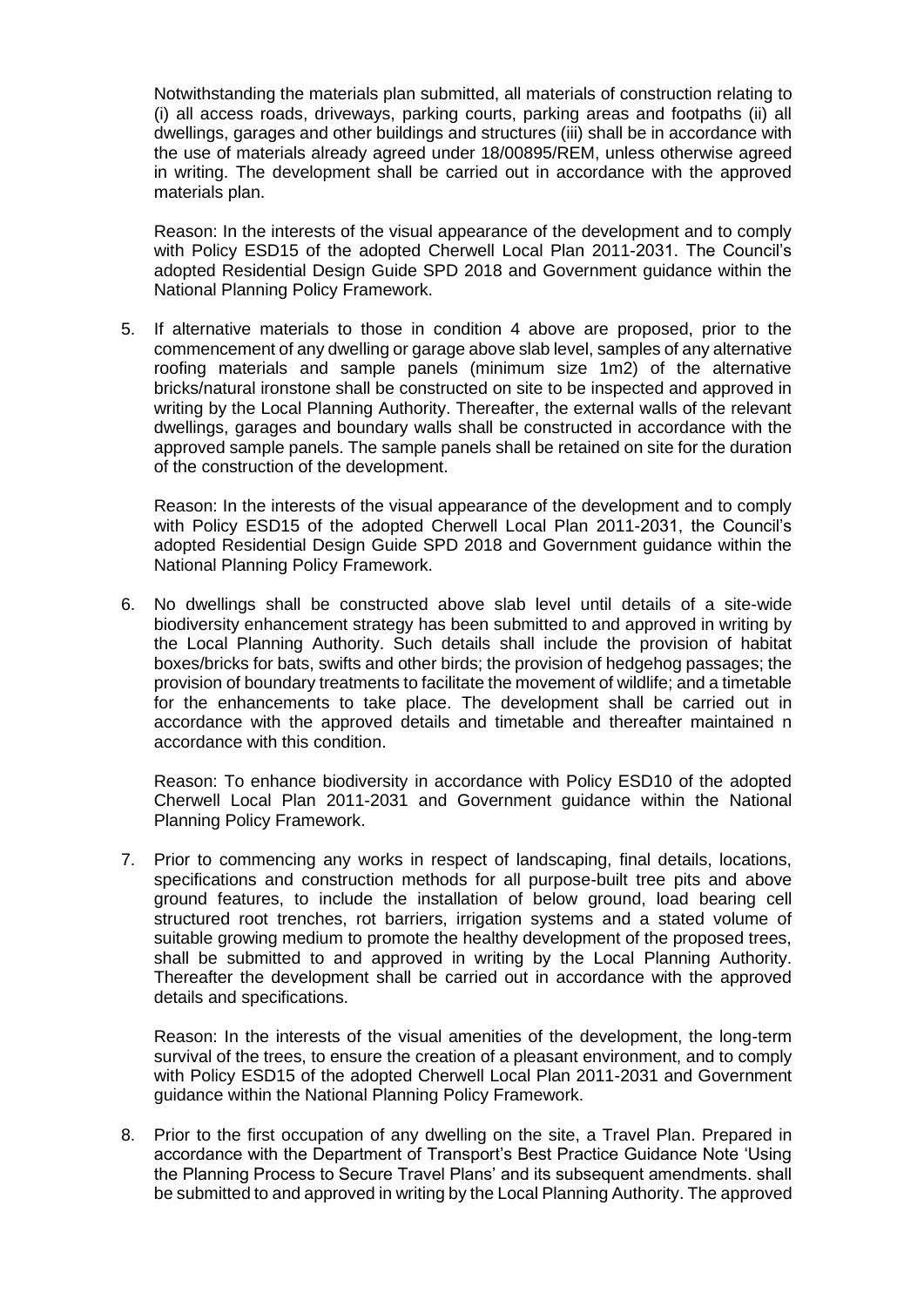Notwithstanding the materials plan submitted, all materials of construction relating to (i) all access roads, driveways, parking courts, parking areas and footpaths (ii) all dwellings, garages and other buildings and structures (iii) shall be in accordance with the use of materials already agreed under 18/00895/REM, unless otherwise agreed in writing. The development shall be carried out in accordance with the approved materials plan.

Reason: In the interests of the visual appearance of the development and to comply with Policy ESD15 of the adopted Cherwell Local Plan 2011-2031. The Council's adopted Residential Design Guide SPD 2018 and Government guidance within the National Planning Policy Framework.

5. If alternative materials to those in condition 4 above are proposed, prior to the commencement of any dwelling or garage above slab level, samples of any alternative roofing materials and sample panels (minimum size 1m2) of the alternative bricks/natural ironstone shall be constructed on site to be inspected and approved in writing by the Local Planning Authority. Thereafter, the external walls of the relevant dwellings, garages and boundary walls shall be constructed in accordance with the approved sample panels. The sample panels shall be retained on site for the duration of the construction of the development.

Reason: In the interests of the visual appearance of the development and to comply with Policy ESD15 of the adopted Cherwell Local Plan 2011-2031, the Council's adopted Residential Design Guide SPD 2018 and Government guidance within the National Planning Policy Framework.

6. No dwellings shall be constructed above slab level until details of a site-wide biodiversity enhancement strategy has been submitted to and approved in writing by the Local Planning Authority. Such details shall include the provision of habitat boxes/bricks for bats, swifts and other birds; the provision of hedgehog passages; the provision of boundary treatments to facilitate the movement of wildlife; and a timetable for the enhancements to take place. The development shall be carried out in accordance with the approved details and timetable and thereafter maintained n accordance with this condition.

Reason: To enhance biodiversity in accordance with Policy ESD10 of the adopted Cherwell Local Plan 2011-2031 and Government guidance within the National Planning Policy Framework.

7. Prior to commencing any works in respect of landscaping, final details, locations, specifications and construction methods for all purpose-built tree pits and above ground features, to include the installation of below ground, load bearing cell structured root trenches, rot barriers, irrigation systems and a stated volume of suitable growing medium to promote the healthy development of the proposed trees, shall be submitted to and approved in writing by the Local Planning Authority. Thereafter the development shall be carried out in accordance with the approved details and specifications.

Reason: In the interests of the visual amenities of the development, the long-term survival of the trees, to ensure the creation of a pleasant environment, and to comply with Policy ESD15 of the adopted Cherwell Local Plan 2011-2031 and Government guidance within the National Planning Policy Framework.

8. Prior to the first occupation of any dwelling on the site, a Travel Plan. Prepared in accordance with the Department of Transport's Best Practice Guidance Note 'Using the Planning Process to Secure Travel Plans' and its subsequent amendments. shall be submitted to and approved in writing by the Local Planning Authority. The approved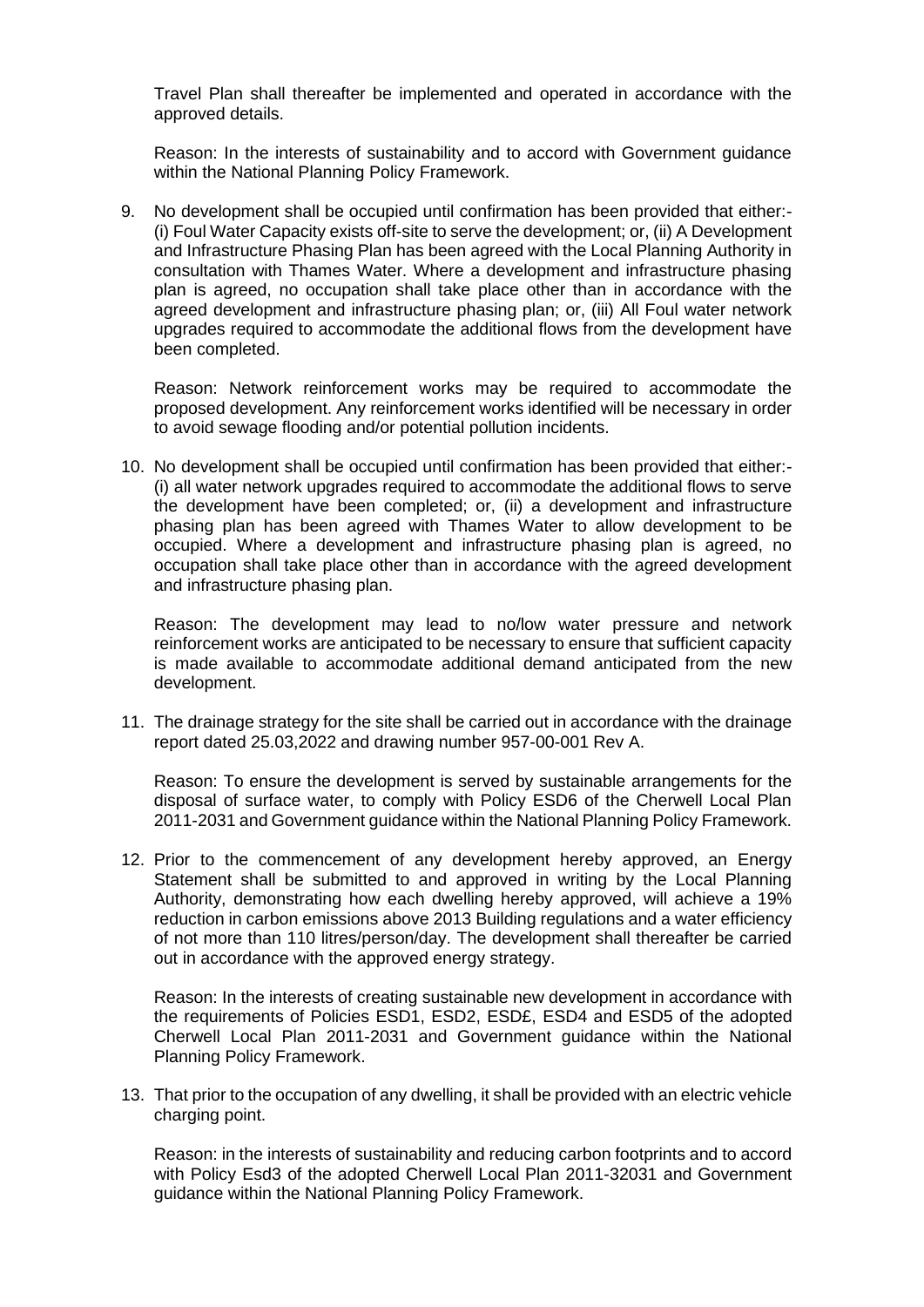Travel Plan shall thereafter be implemented and operated in accordance with the approved details.

Reason: In the interests of sustainability and to accord with Government guidance within the National Planning Policy Framework.

9. No development shall be occupied until confirmation has been provided that either:- (i) Foul Water Capacity exists off-site to serve the development; or, (ii) A Development and Infrastructure Phasing Plan has been agreed with the Local Planning Authority in consultation with Thames Water. Where a development and infrastructure phasing plan is agreed, no occupation shall take place other than in accordance with the agreed development and infrastructure phasing plan; or, (iii) All Foul water network upgrades required to accommodate the additional flows from the development have been completed.

Reason: Network reinforcement works may be required to accommodate the proposed development. Any reinforcement works identified will be necessary in order to avoid sewage flooding and/or potential pollution incidents.

10. No development shall be occupied until confirmation has been provided that either:- (i) all water network upgrades required to accommodate the additional flows to serve the development have been completed; or, (ii) a development and infrastructure phasing plan has been agreed with Thames Water to allow development to be occupied. Where a development and infrastructure phasing plan is agreed, no occupation shall take place other than in accordance with the agreed development and infrastructure phasing plan.

Reason: The development may lead to no/low water pressure and network reinforcement works are anticipated to be necessary to ensure that sufficient capacity is made available to accommodate additional demand anticipated from the new development.

11. The drainage strategy for the site shall be carried out in accordance with the drainage report dated 25.03,2022 and drawing number 957-00-001 Rev A.

Reason: To ensure the development is served by sustainable arrangements for the disposal of surface water, to comply with Policy ESD6 of the Cherwell Local Plan 2011-2031 and Government guidance within the National Planning Policy Framework.

12. Prior to the commencement of any development hereby approved, an Energy Statement shall be submitted to and approved in writing by the Local Planning Authority, demonstrating how each dwelling hereby approved, will achieve a 19% reduction in carbon emissions above 2013 Building regulations and a water efficiency of not more than 110 litres/person/day. The development shall thereafter be carried out in accordance with the approved energy strategy.

Reason: In the interests of creating sustainable new development in accordance with the requirements of Policies ESD1, ESD2, ESD£, ESD4 and ESD5 of the adopted Cherwell Local Plan 2011-2031 and Government guidance within the National Planning Policy Framework.

13. That prior to the occupation of any dwelling, it shall be provided with an electric vehicle charging point.

Reason: in the interests of sustainability and reducing carbon footprints and to accord with Policy Esd3 of the adopted Cherwell Local Plan 2011-32031 and Government guidance within the National Planning Policy Framework.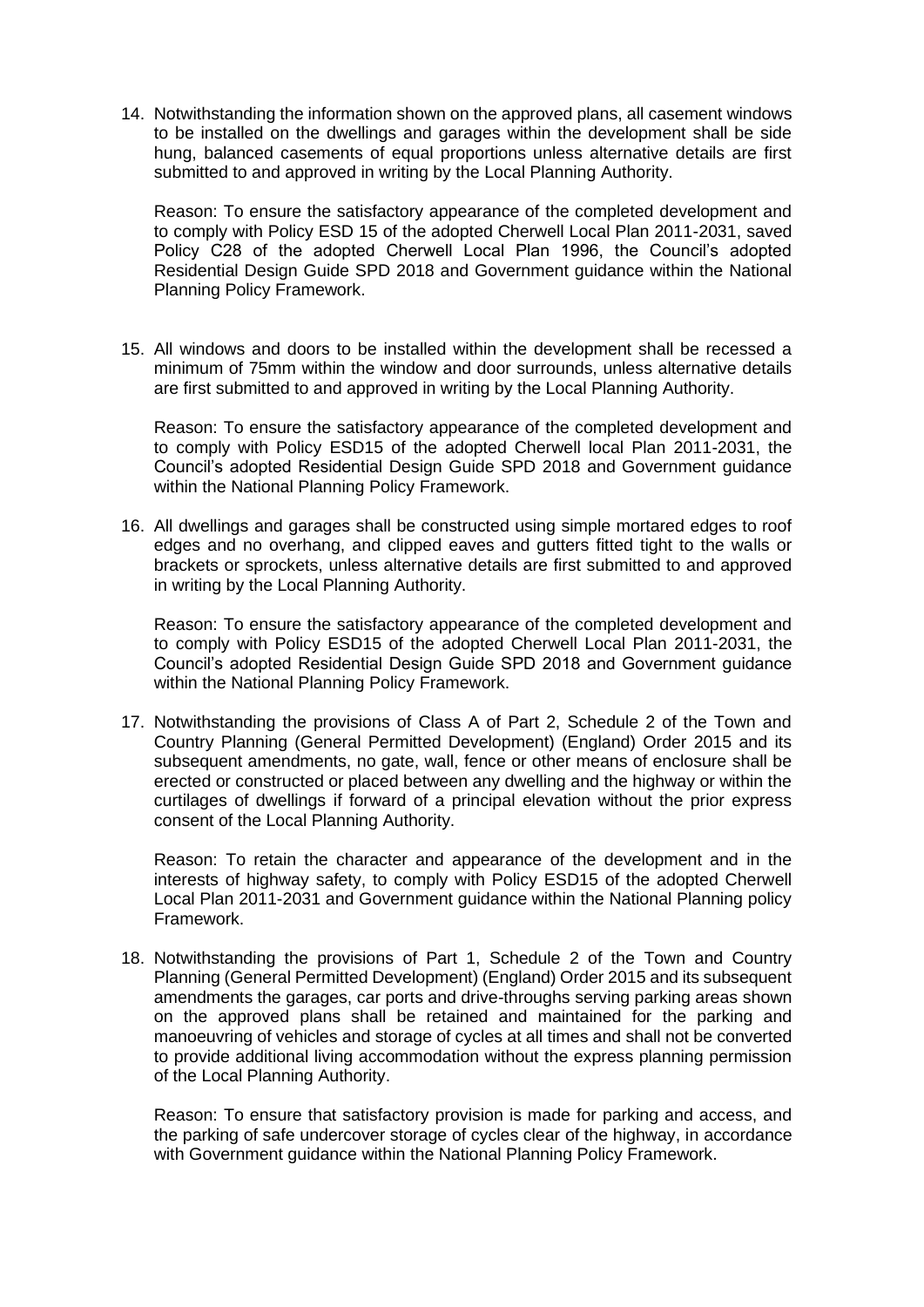14. Notwithstanding the information shown on the approved plans, all casement windows to be installed on the dwellings and garages within the development shall be side hung, balanced casements of equal proportions unless alternative details are first submitted to and approved in writing by the Local Planning Authority.

Reason: To ensure the satisfactory appearance of the completed development and to comply with Policy ESD 15 of the adopted Cherwell Local Plan 2011-2031, saved Policy C28 of the adopted Cherwell Local Plan 1996, the Council's adopted Residential Design Guide SPD 2018 and Government guidance within the National Planning Policy Framework.

15. All windows and doors to be installed within the development shall be recessed a minimum of 75mm within the window and door surrounds, unless alternative details are first submitted to and approved in writing by the Local Planning Authority.

Reason: To ensure the satisfactory appearance of the completed development and to comply with Policy ESD15 of the adopted Cherwell local Plan 2011-2031, the Council's adopted Residential Design Guide SPD 2018 and Government guidance within the National Planning Policy Framework.

16. All dwellings and garages shall be constructed using simple mortared edges to roof edges and no overhang, and clipped eaves and gutters fitted tight to the walls or brackets or sprockets, unless alternative details are first submitted to and approved in writing by the Local Planning Authority.

Reason: To ensure the satisfactory appearance of the completed development and to comply with Policy ESD15 of the adopted Cherwell Local Plan 2011-2031, the Council's adopted Residential Design Guide SPD 2018 and Government guidance within the National Planning Policy Framework.

17. Notwithstanding the provisions of Class A of Part 2, Schedule 2 of the Town and Country Planning (General Permitted Development) (England) Order 2015 and its subsequent amendments, no gate, wall, fence or other means of enclosure shall be erected or constructed or placed between any dwelling and the highway or within the curtilages of dwellings if forward of a principal elevation without the prior express consent of the Local Planning Authority.

Reason: To retain the character and appearance of the development and in the interests of highway safety, to comply with Policy ESD15 of the adopted Cherwell Local Plan 2011-2031 and Government guidance within the National Planning policy Framework.

18. Notwithstanding the provisions of Part 1, Schedule 2 of the Town and Country Planning (General Permitted Development) (England) Order 2015 and its subsequent amendments the garages, car ports and drive-throughs serving parking areas shown on the approved plans shall be retained and maintained for the parking and manoeuvring of vehicles and storage of cycles at all times and shall not be converted to provide additional living accommodation without the express planning permission of the Local Planning Authority.

Reason: To ensure that satisfactory provision is made for parking and access, and the parking of safe undercover storage of cycles clear of the highway, in accordance with Government guidance within the National Planning Policy Framework.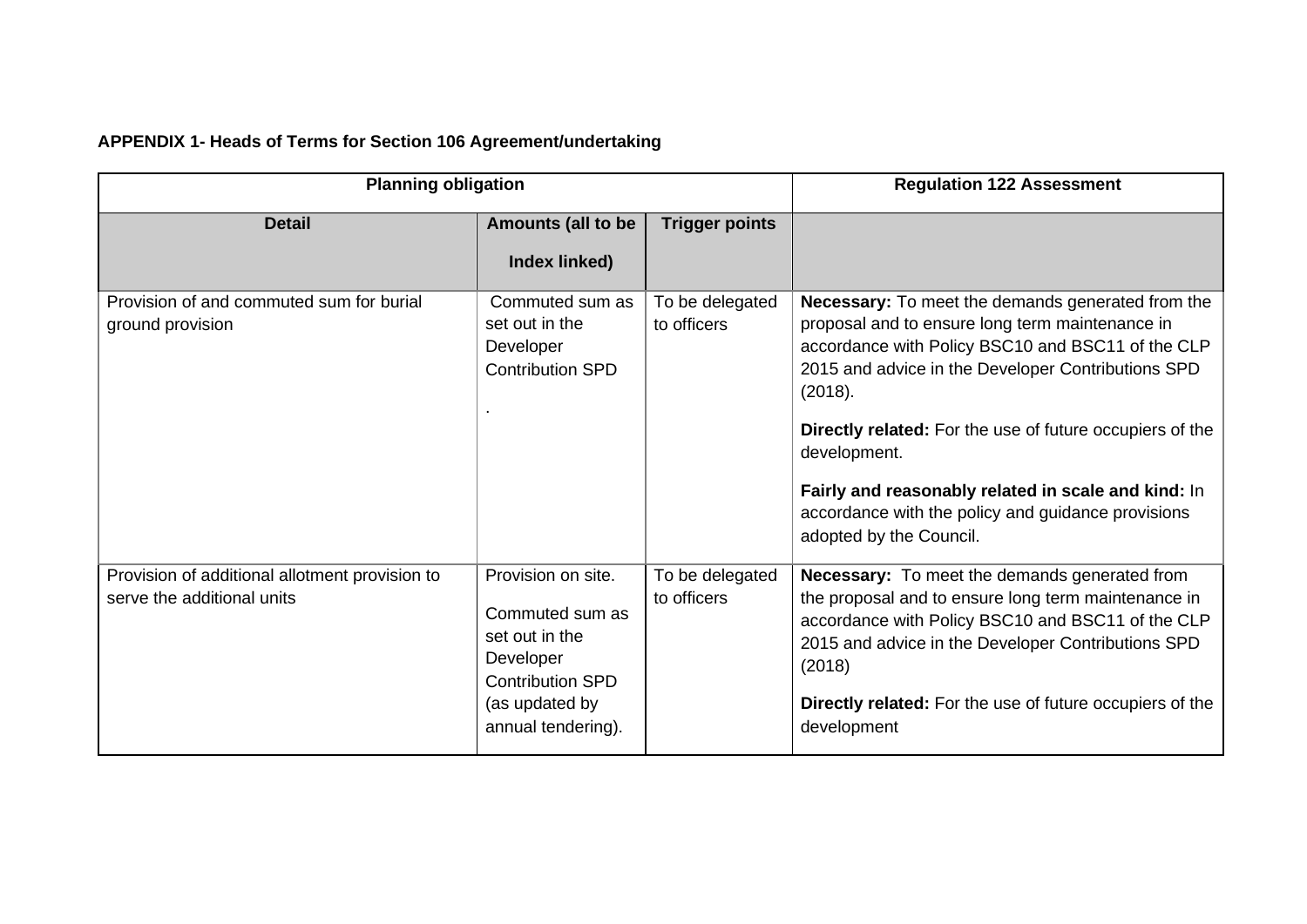# **APPENDIX 1- Heads of Terms for Section 106 Agreement/undertaking**

| <b>Planning obligation</b>                                                   |                                                                                                                                         |                                | <b>Regulation 122 Assessment</b>                                                                                                                                                                                                                                                                                                                                                                                                                             |
|------------------------------------------------------------------------------|-----------------------------------------------------------------------------------------------------------------------------------------|--------------------------------|--------------------------------------------------------------------------------------------------------------------------------------------------------------------------------------------------------------------------------------------------------------------------------------------------------------------------------------------------------------------------------------------------------------------------------------------------------------|
| <b>Detail</b>                                                                | <b>Amounts (all to be</b><br>Index linked)                                                                                              | <b>Trigger points</b>          |                                                                                                                                                                                                                                                                                                                                                                                                                                                              |
| Provision of and commuted sum for burial<br>ground provision                 | Commuted sum as<br>set out in the<br>Developer<br><b>Contribution SPD</b>                                                               | To be delegated<br>to officers | <b>Necessary:</b> To meet the demands generated from the<br>proposal and to ensure long term maintenance in<br>accordance with Policy BSC10 and BSC11 of the CLP<br>2015 and advice in the Developer Contributions SPD<br>(2018).<br><b>Directly related:</b> For the use of future occupiers of the<br>development.<br>Fairly and reasonably related in scale and kind: In<br>accordance with the policy and guidance provisions<br>adopted by the Council. |
| Provision of additional allotment provision to<br>serve the additional units | Provision on site.<br>Commuted sum as<br>set out in the<br>Developer<br><b>Contribution SPD</b><br>(as updated by<br>annual tendering). | To be delegated<br>to officers | <b>Necessary:</b> To meet the demands generated from<br>the proposal and to ensure long term maintenance in<br>accordance with Policy BSC10 and BSC11 of the CLP<br>2015 and advice in the Developer Contributions SPD<br>(2018)<br><b>Directly related:</b> For the use of future occupiers of the<br>development                                                                                                                                           |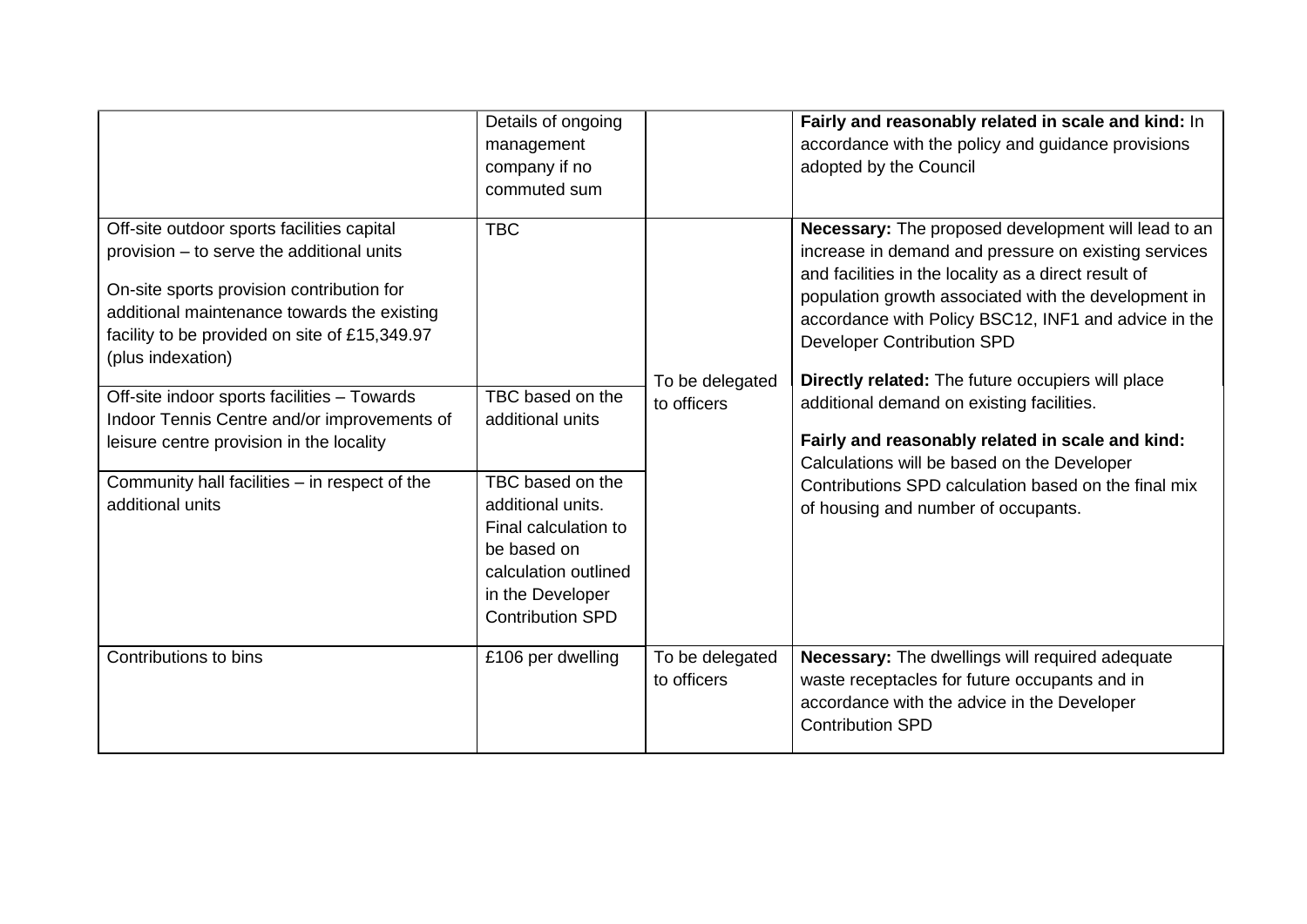|                                                                                                                                                                                                                                                                                                                                                                                                                                                                          | Details of ongoing<br>management<br>company if no<br>commuted sum                                                                  |                                | Fairly and reasonably related in scale and kind: In<br>accordance with the policy and guidance provisions<br>adopted by the Council                                                                                                                                                                                                                                                                                                                                                                                                                                                                                          |
|--------------------------------------------------------------------------------------------------------------------------------------------------------------------------------------------------------------------------------------------------------------------------------------------------------------------------------------------------------------------------------------------------------------------------------------------------------------------------|------------------------------------------------------------------------------------------------------------------------------------|--------------------------------|------------------------------------------------------------------------------------------------------------------------------------------------------------------------------------------------------------------------------------------------------------------------------------------------------------------------------------------------------------------------------------------------------------------------------------------------------------------------------------------------------------------------------------------------------------------------------------------------------------------------------|
| Off-site outdoor sports facilities capital<br>provision - to serve the additional units<br>On-site sports provision contribution for<br>additional maintenance towards the existing<br>facility to be provided on site of £15,349.97<br>(plus indexation)<br>Off-site indoor sports facilities - Towards<br>Indoor Tennis Centre and/or improvements of<br>leisure centre provision in the locality<br>Community hall facilities - in respect of the<br>additional units | <b>TBC</b><br>TBC based on the<br>additional units<br>TBC based on the<br>additional units.<br>Final calculation to<br>be based on | To be delegated<br>to officers | Necessary: The proposed development will lead to an<br>increase in demand and pressure on existing services<br>and facilities in the locality as a direct result of<br>population growth associated with the development in<br>accordance with Policy BSC12, INF1 and advice in the<br><b>Developer Contribution SPD</b><br>Directly related: The future occupiers will place<br>additional demand on existing facilities.<br>Fairly and reasonably related in scale and kind:<br>Calculations will be based on the Developer<br>Contributions SPD calculation based on the final mix<br>of housing and number of occupants. |
|                                                                                                                                                                                                                                                                                                                                                                                                                                                                          | calculation outlined<br>in the Developer<br><b>Contribution SPD</b>                                                                |                                |                                                                                                                                                                                                                                                                                                                                                                                                                                                                                                                                                                                                                              |
| Contributions to bins                                                                                                                                                                                                                                                                                                                                                                                                                                                    | £106 per dwelling                                                                                                                  | To be delegated<br>to officers | Necessary: The dwellings will required adequate<br>waste receptacles for future occupants and in<br>accordance with the advice in the Developer<br><b>Contribution SPD</b>                                                                                                                                                                                                                                                                                                                                                                                                                                                   |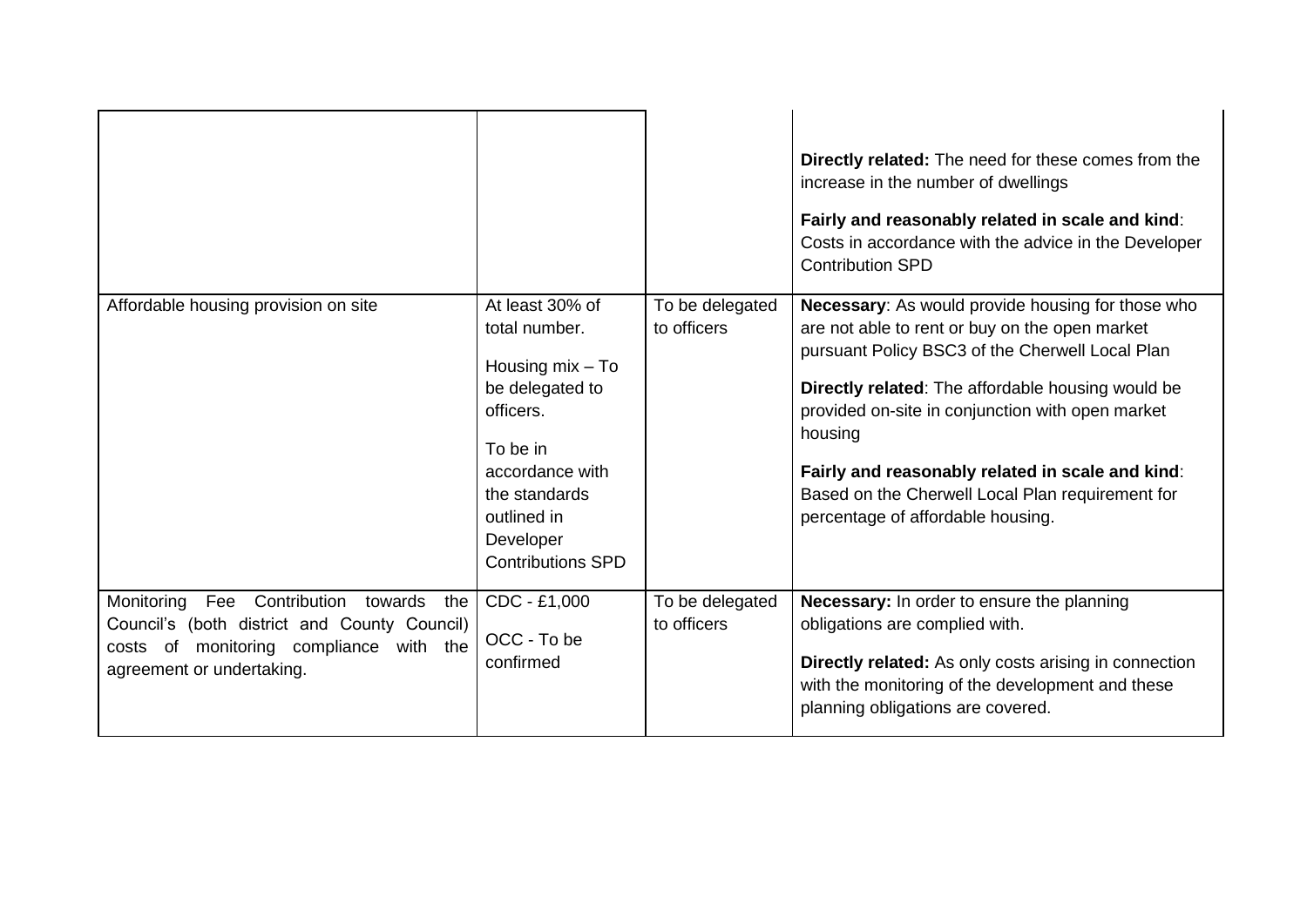|                                                                                                                                                                             |                                                                                                                                                                                                |                                | <b>Directly related:</b> The need for these comes from the<br>increase in the number of dwellings<br>Fairly and reasonably related in scale and kind:<br>Costs in accordance with the advice in the Developer<br><b>Contribution SPD</b>                                                                                                                                                                                |
|-----------------------------------------------------------------------------------------------------------------------------------------------------------------------------|------------------------------------------------------------------------------------------------------------------------------------------------------------------------------------------------|--------------------------------|-------------------------------------------------------------------------------------------------------------------------------------------------------------------------------------------------------------------------------------------------------------------------------------------------------------------------------------------------------------------------------------------------------------------------|
| Affordable housing provision on site                                                                                                                                        | At least 30% of<br>total number.<br>Housing $mix - To$<br>be delegated to<br>officers.<br>To be in<br>accordance with<br>the standards<br>outlined in<br>Developer<br><b>Contributions SPD</b> | To be delegated<br>to officers | Necessary: As would provide housing for those who<br>are not able to rent or buy on the open market<br>pursuant Policy BSC3 of the Cherwell Local Plan<br>Directly related: The affordable housing would be<br>provided on-site in conjunction with open market<br>housing<br>Fairly and reasonably related in scale and kind:<br>Based on the Cherwell Local Plan requirement for<br>percentage of affordable housing. |
| Monitoring<br>Fee<br>Contribution<br>towards<br>the<br>Council's (both district and County Council)<br>costs of monitoring compliance with the<br>agreement or undertaking. | CDC - £1,000<br>OCC - To be<br>confirmed                                                                                                                                                       | To be delegated<br>to officers | Necessary: In order to ensure the planning<br>obligations are complied with.<br>Directly related: As only costs arising in connection<br>with the monitoring of the development and these<br>planning obligations are covered.                                                                                                                                                                                          |